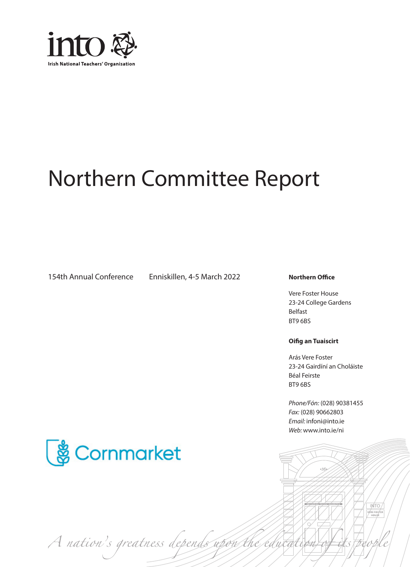

# Northern Committee Report

154th Annual Conference Enniskillen, 4-5 March 2022 **Northern Office**

Anation's greatness depends upon the education

Vere Foster House 23-24 College Gardens Belfast BT9 6BS

#### **Oifig an Tuaiscirt**

Arás Vere Foster 23-24 Gairdíní an Choláiste Béal Feirste BT9 6BS

*Phone/Fón:* (028) 90381455 *Fax:* (028) 90662803 *Email:* infoni@into.ie *Web:* www.into.ie/ni

 $-35$ 

**INTO** 

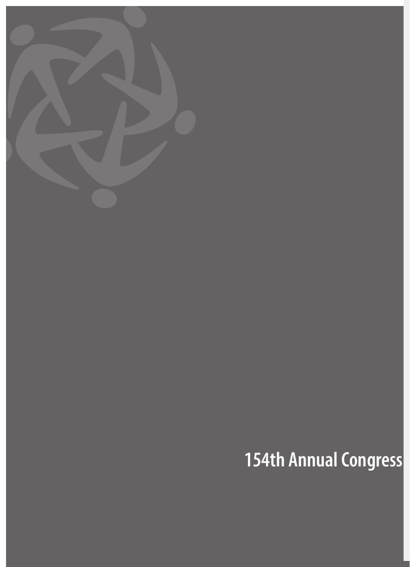

# **154th Annual Congress**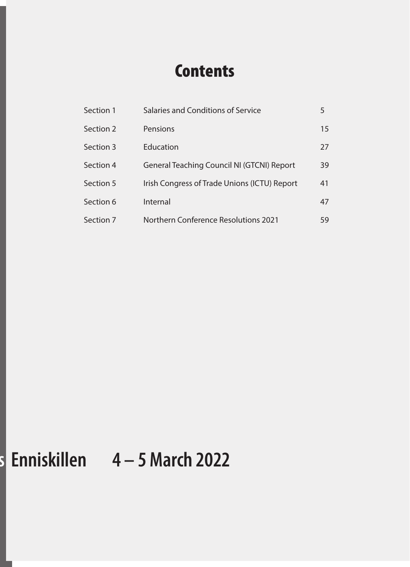# **Contents**

| Section 1 | Salaries and Conditions of Service                | 5  |
|-----------|---------------------------------------------------|----|
| Section 2 | Pensions                                          | 15 |
| Section 3 | Education                                         | 27 |
| Section 4 | <b>General Teaching Council NI (GTCNI) Report</b> | 39 |
| Section 5 | Irish Congress of Trade Unions (ICTU) Report      | 41 |
| Section 6 | Internal                                          | 47 |
| Section 7 | <b>Northern Conference Resolutions 2021</b>       | 59 |

# **154th Annual Congress Enniskillen 4 – 5 March 2022**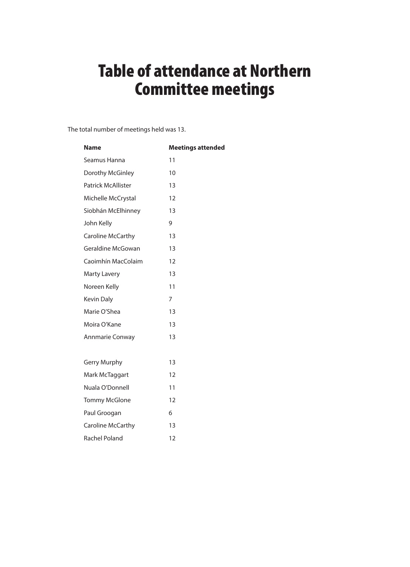# Table of attendance at Northern Committee meetings

The total number of meetings held was 13.

| Name                      | <b>Meetings attended</b> |
|---------------------------|--------------------------|
| Seamus Hanna              | 11                       |
| Dorothy McGinley          | 10                       |
| <b>Patrick McAllister</b> | 13                       |
| Michelle McCrystal        | 12                       |
| Siobhán McElhinney        | 13                       |
| John Kelly                | 9                        |
| Caroline McCarthy         | 13                       |
| Geraldine McGowan         | 13                       |
| Caoimhín MacColaim        | 12                       |
| Marty Lavery              | 13                       |
| Noreen Kelly              | 11                       |
| Kevin Daly                | 7                        |
| Marie O'Shea              | 13                       |
| Moira O'Kane              | 13                       |
| Annmarie Conway           | 13                       |
|                           |                          |
| <b>Gerry Murphy</b>       | 13                       |
| Mark McTaggart            | 12                       |
| Nuala O'Donnell           | 11                       |
| <b>Tommy McGlone</b>      | 12                       |
| Paul Groogan              | 6                        |
| Caroline McCarthy         | 13                       |
| Rachel Poland             | 12                       |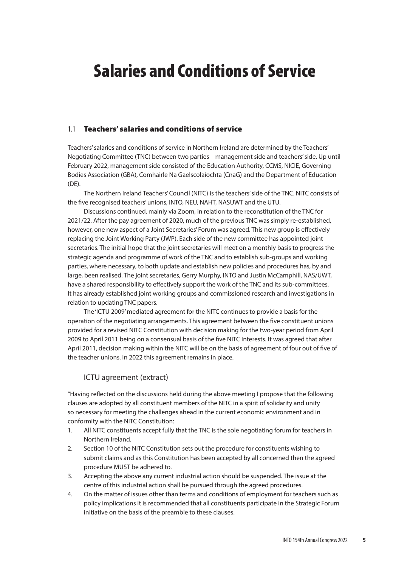# Salaries and Conditions of Service

#### 1.1 Teachers' salaries and conditions of service

Teachers' salaries and conditions of service in Northern Ireland are determined by the Teachers' Negotiating Committee (TNC) between two parties – management side and teachers' side. Up until February 2022, management side consisted of the Education Authority, CCMS, NICIE, Governing Bodies Association (GBA), Comhairle Na Gaelscolaíochta (CnaG) and the Department of Education  $(DF)$ 

The Northern Ireland Teachers' Council (NITC) is the teachers' side of the TNC. NITC consists of the five recognised teachers' unions, INTO, NEU, NAHT, NASUWT and the UTU.

Discussions continued, mainly via Zoom, in relation to the reconstitution of the TNC for 2021/22. After the pay agreement of 2020, much of the previous TNC was simply re-established, however, one new aspect of a Joint Secretaries' Forum was agreed. This new group is effectively replacing the Joint Working Party (JWP). Each side of the new committee has appointed joint secretaries. The initial hope that the joint secretaries will meet on a monthly basis to progress the strategic agenda and programme of work of the TNC and to establish sub-groups and working parties, where necessary, to both update and establish new policies and procedures has, by and large, been realised. The joint secretaries, Gerry Murphy, INTO and Justin McCamphill, NAS/UWT, have a shared responsibility to effectively support the work of the TNC and its sub-committees. It has already established joint working groups and commissioned research and investigations in relation to updating TNC papers.

The 'ICTU 2009' mediated agreement for the NITC continues to provide a basis for the operation of the negotiating arrangements. This agreement between the five constituent unions provided for a revised NITC Constitution with decision making for the two-year period from April 2009 to April 2011 being on a consensual basis of the five NITC Interests. It was agreed that after April 2011, decision making within the NITC will be on the basis of agreement of four out of five of the teacher unions. In 2022 this agreement remains in place.

#### ICTU agreement (extract)

"Having reflected on the discussions held during the above meeting I propose that the following clauses are adopted by all constituent members of the NITC in a spirit of solidarity and unity so necessary for meeting the challenges ahead in the current economic environment and in conformity with the NITC Constitution:

- 1. All NITC constituents accept fully that the TNC is the sole negotiating forum for teachers in Northern Ireland.
- 2. Section 10 of the NITC Constitution sets out the procedure for constituents wishing to submit claims and as this Constitution has been accepted by all concerned then the agreed procedure MUST be adhered to.
- 3. Accepting the above any current industrial action should be suspended. The issue at the centre of this industrial action shall be pursued through the agreed procedures.
- 4. On the matter of issues other than terms and conditions of employment for teachers such as policy implications it is recommended that all constituents participate in the Strategic Forum initiative on the basis of the preamble to these clauses.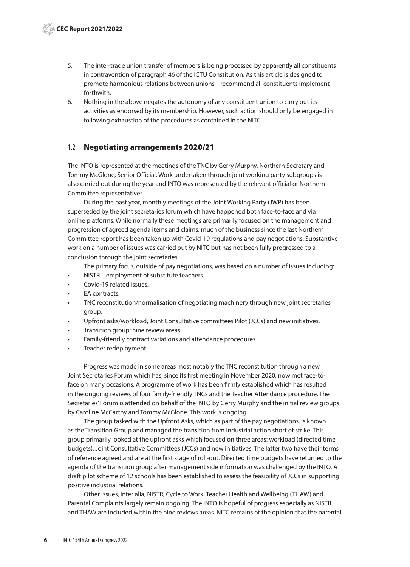- 5. The inter-trade union transfer of members is being processed by apparently all constituents in contravention of paragraph 46 of the ICTU Constitution. As this article is designed to promote harmonious relations between unions, I recommend all constituents implement forthwith.
- 6. Nothing in the above negates the autonomy of any constituent union to carry out its activities as endorsed by its membership. However, such action should only be engaged in following exhaustion of the procedures as contained in the NITC.

# 1.2 Negotiating arrangements 2020/21

The INTO is represented at the meetings of the TNC by Gerry Murphy, Northern Secretary and Tommy McGlone, Senior Official. Work undertaken through joint working party subgroups is also carried out during the year and INTO was represented by the relevant official or Northern Committee representatives.

During the past year, monthly meetings of the Joint Working Party (JWP) has been superseded by the joint secretaries forum which have happened both face-to-face and via online platforms. While normally these meetings are primarily focused on the management and progression of agreed agenda items and claims, much of the business since the last Northern Committee report has been taken up with Covid-19 regulations and pay negotiations. Substantive work on a number of issues was carried out by NITC but has not been fully progressed to a conclusion through the joint secretaries.

The primary focus, outside of pay negotiations, was based on a number of issues including:

- NISTR employment of substitute teachers.
- Covid-19 related issues.
- EA contracts.
- TNC reconstitution/normalisation of negotiating machinery through new joint secretaries group.
- Upfront asks/workload, Joint Consultative committees Pilot (JCCs) and new initiatives.
- Transition group: nine review areas.
- Family-friendly contract variations and attendance procedures.
- Teacher redeployment.

Progress was made in some areas most notably the TNC reconstitution through a new Joint Secretaries Forum which has, since its first meeting in November 2020, now met face-toface on many occasions. A programme of work has been firmly established which has resulted in the ongoing reviews of four family-friendly TNCs and the Teacher Attendance procedure. The Secretaries' Forum is attended on behalf of the INTO by Gerry Murphy and the initial review groups by Caroline McCarthy and Tommy McGlone. This work is ongoing.

The group tasked with the Upfront Asks, which as part of the pay negotiations, is known as the Transition Group and managed the transition from industrial action short of strike. This group primarily looked at the upfront asks which focused on three areas: workload (directed time budgets), Joint Consultative Committees (JCCs) and new initiatives. The latter two have their terms of reference agreed and are at the first stage of roll-out. Directed time budgets have returned to the agenda of the transition group after management side information was challenged by the INTO. A draft pilot scheme of 12 schools has been established to assess the feasibility of JCCs in supporting positive industrial relations.

Other issues, inter alia, NISTR, Cycle to Work, Teacher Health and Wellbeing (THAW) and Parental Complaints largely remain ongoing. The INTO is hopeful of progress especially as NISTR and THAW are included within the nine reviews areas. NITC remains of the opinion that the parental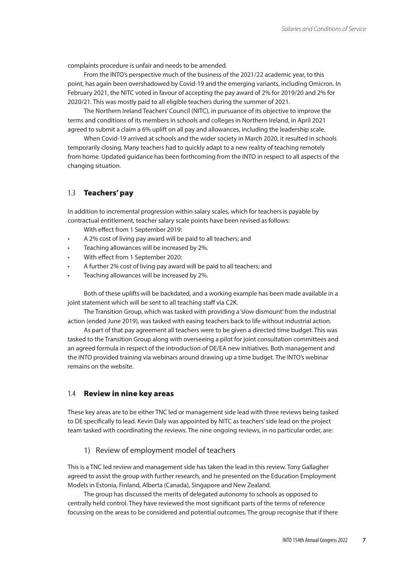complaints procedure is unfair and needs to be amended.

From the INTO's perspective much of the business of the 2021/22 academic year, to this point, has again been overshadowed by Covid-19 and the emerging variants, including Omicron. In February 2021, the NITC voted in favour of accepting the pay award of 2% for 2019/20 and 2% for 2020/21. This was mostly paid to all eligible teachers during the summer of 2021.

The Northern Ireland Teachers' Council (NITC), in pursuance of its objective to improve the terms and conditions of its members in schools and colleges in Northern Ireland, in April 2021 agreed to submit a claim a 6% uplift on all pay and allowances, including the leadership scale.

When Covid-19 arrived at schools and the wider society in March 2020, it resulted in schools temporarily closing. Many teachers had to quickly adapt to a new reality of teaching remotely from home. Updated guidance has been forthcoming from the INTO in respect to all aspects of the changing situation.

# 1.3 Teachers' pay

In addition to incremental progression within salary scales, which for teachers is payable by contractual entitlement, teacher salary scale points have been revised as follows:

- With effect from 1 September 2019:
- A 2% cost of living pay award will be paid to all teachers; and
- Teaching allowances will be increased by 2%.
- With effect from 1 September 2020:
- A further 2% cost of living pay award will be paid to all teachers; and
- Teaching allowances will be increased by 2%.

Both of these uplifts will be backdated, and a working example has been made available in a joint statement which will be sent to all teaching staff via C2K.

The Transition Group, which was tasked with providing a 'slow dismount' from the industrial action (ended June 2019), was tasked with easing teachers back to life without industrial action.

As part of that pay agreement all teachers were to be given a directed time budget. This was tasked to the Transition Group along with overseeing a pilot for joint consultation committees and an agreed formula in respect of the introduction of DE/EA new initiatives. Both management and the INTO provided training via webinars around drawing up a time budget. The INTO's webinar remains on the website.

#### 1.4 Review in nine key areas

These key areas are to be either TNC led or management side lead with three reviews being tasked to DE specifically to lead. Kevin Daly was appointed by NITC as teachers' side lead on the project team tasked with coordinating the reviews. The nine ongoing reviews, in no particular order, are:

#### 1) Review of employment model of teachers

This is a TNC led review and management side has taken the lead in this review. Tony Gallagher agreed to assist the group with further research, and he presented on the Education Employment Models in Estonia, Finland, Alberta (Canada), Singapore and New Zealand.

The group has discussed the merits of delegated autonomy to schools as opposed to centrally held control. They have reviewed the most significant parts of the terms of reference focussing on the areas to be considered and potential outcomes. The group recognise that if there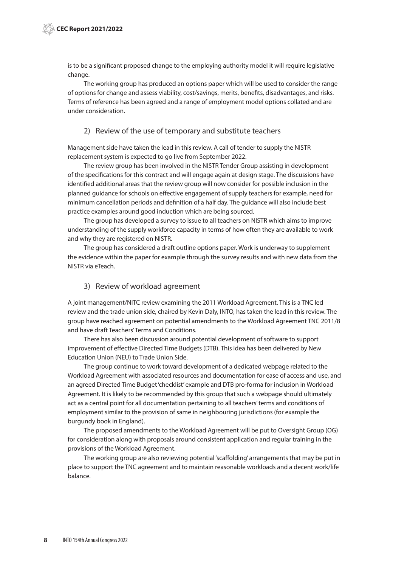is to be a significant proposed change to the employing authority model it will require legislative change.

The working group has produced an options paper which will be used to consider the range of options for change and assess viability, cost/savings, merits, benefits, disadvantages, and risks. Terms of reference has been agreed and a range of employment model options collated and are under consideration.

### 2) Review of the use of temporary and substitute teachers

Management side have taken the lead in this review. A call of tender to supply the NISTR replacement system is expected to go live from September 2022.

The review group has been involved in the NISTR Tender Group assisting in development of the specifications for this contract and will engage again at design stage. The discussions have identified additional areas that the review group will now consider for possible inclusion in the planned guidance for schools on effective engagement of supply teachers for example, need for minimum cancellation periods and definition of a half day. The guidance will also include best practice examples around good induction which are being sourced.

The group has developed a survey to issue to all teachers on NISTR which aims to improve understanding of the supply workforce capacity in terms of how often they are available to work and why they are registered on NISTR.

The group has considered a draft outline options paper. Work is underway to supplement the evidence within the paper for example through the survey results and with new data from the NISTR via eTeach.

### 3) Review of workload agreement

A joint management/NITC review examining the 2011 Workload Agreement. This is a TNC led review and the trade union side, chaired by Kevin Daly, INTO, has taken the lead in this review. The group have reached agreement on potential amendments to the Workload Agreement TNC 2011/8 and have draft Teachers' Terms and Conditions.

There has also been discussion around potential development of software to support improvement of effective Directed Time Budgets (DTB). This idea has been delivered by New Education Union (NEU) to Trade Union Side.

The group continue to work toward development of a dedicated webpage related to the Workload Agreement with associated resources and documentation for ease of access and use, and an agreed Directed Time Budget 'checklist' example and DTB pro-forma for inclusion in Workload Agreement. It is likely to be recommended by this group that such a webpage should ultimately act as a central point for all documentation pertaining to all teachers' terms and conditions of employment similar to the provision of same in neighbouring jurisdictions (for example the burgundy book in England).

The proposed amendments to the Workload Agreement will be put to Oversight Group (OG) for consideration along with proposals around consistent application and regular training in the provisions of the Workload Agreement.

The working group are also reviewing potential 'scaffolding' arrangements that may be put in place to support the TNC agreement and to maintain reasonable workloads and a decent work/life balance.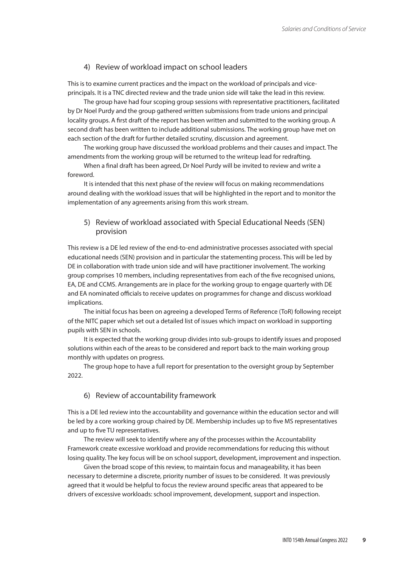#### 4) Review of workload impact on school leaders

This is to examine current practices and the impact on the workload of principals and viceprincipals. It is a TNC directed review and the trade union side will take the lead in this review.

The group have had four scoping group sessions with representative practitioners, facilitated by Dr Noel Purdy and the group gathered written submissions from trade unions and principal locality groups. A first draft of the report has been written and submitted to the working group. A second draft has been written to include additional submissions. The working group have met on each section of the draft for further detailed scrutiny, discussion and agreement.

The working group have discussed the workload problems and their causes and impact. The amendments from the working group will be returned to the writeup lead for redrafting.

When a final draft has been agreed, Dr Noel Purdy will be invited to review and write a foreword.

It is intended that this next phase of the review will focus on making recommendations around dealing with the workload issues that will be highlighted in the report and to monitor the implementation of any agreements arising from this work stream.

### 5) Review of workload associated with Special Educational Needs (SEN) provision

This review is a DE led review of the end-to-end administrative processes associated with special educational needs (SEN) provision and in particular the statementing process. This will be led by DE in collaboration with trade union side and will have practitioner involvement. The working group comprises 10 members, including representatives from each of the five recognised unions, EA, DE and CCMS. Arrangements are in place for the working group to engage quarterly with DE and EA nominated officials to receive updates on programmes for change and discuss workload implications.

The initial focus has been on agreeing a developed Terms of Reference (ToR) following receipt of the NITC paper which set out a detailed list of issues which impact on workload in supporting pupils with SEN in schools.

It is expected that the working group divides into sub-groups to identify issues and proposed solutions within each of the areas to be considered and report back to the main working group monthly with updates on progress.

The group hope to have a full report for presentation to the oversight group by September 2022.

### 6) Review of accountability framework

This is a DE led review into the accountability and governance within the education sector and will be led by a core working group chaired by DE. Membership includes up to five MS representatives and up to five TU representatives.

The review will seek to identify where any of the processes within the Accountability Framework create excessive workload and provide recommendations for reducing this without losing quality. The key focus will be on school support, development, improvement and inspection.

Given the broad scope of this review, to maintain focus and manageability, it has been necessary to determine a discrete, priority number of issues to be considered. It was previously agreed that it would be helpful to focus the review around specific areas that appeared to be drivers of excessive workloads: school improvement, development, support and inspection.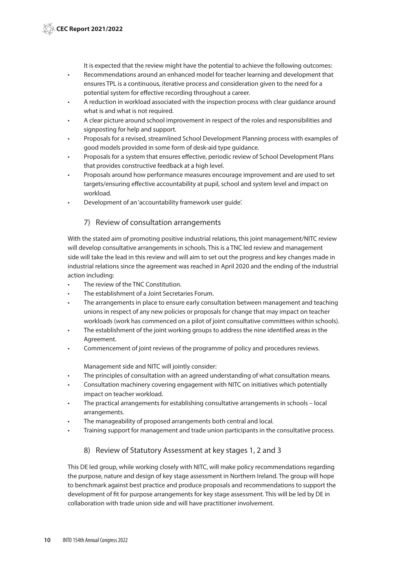It is expected that the review might have the potential to achieve the following outcomes:

- Recommendations around an enhanced model for teacher learning and development that ensures TPL is a continuous, iterative process and consideration given to the need for a potential system for effective recording throughout a career.
- A reduction in workload associated with the inspection process with clear guidance around what is and what is not required.
- A clear picture around school improvement in respect of the roles and responsibilities and signposting for help and support.
- Proposals for a revised, streamlined School Development Planning process with examples of good models provided in some form of desk-aid type guidance.
- Proposals for a system that ensures effective, periodic review of School Development Plans that provides constructive feedback at a high level.
- Proposals around how performance measures encourage improvement and are used to set targets/ensuring effective accountability at pupil, school and system level and impact on workload.
- Development of an 'accountability framework user guide'.

# 7) Review of consultation arrangements

With the stated aim of promoting positive industrial relations, this joint management/NITC review will develop consultative arrangements in schools. This is a TNC led review and management side will take the lead in this review and will aim to set out the progress and key changes made in industrial relations since the agreement was reached in April 2020 and the ending of the industrial action including:

- The review of the TNC Constitution.
- The establishment of a Joint Secretaries Forum.
- The arrangements in place to ensure early consultation between management and teaching unions in respect of any new policies or proposals for change that may impact on teacher workloads (work has commenced on a pilot of joint consultative committees within schools).
- The establishment of the joint working groups to address the nine identified areas in the Agreement.
- Commencement of joint reviews of the programme of policy and procedures reviews.

Management side and NITC will jointly consider:

- The principles of consultation with an agreed understanding of what consultation means.
- Consultation machinery covering engagement with NITC on initiatives which potentially impact on teacher workload.
- The practical arrangements for establishing consultative arrangements in schools local arrangements.
- The manageability of proposed arrangements both central and local.
- Training support for management and trade union participants in the consultative process.

# 8) Review of Statutory Assessment at key stages 1, 2 and 3

This DE led group, while working closely with NITC, will make policy recommendations regarding the purpose, nature and design of key stage assessment in Northern Ireland. The group will hope to benchmark against best practice and produce proposals and recommendations to support the development of fit for purpose arrangements for key stage assessment. This will be led by DE in collaboration with trade union side and will have practitioner involvement.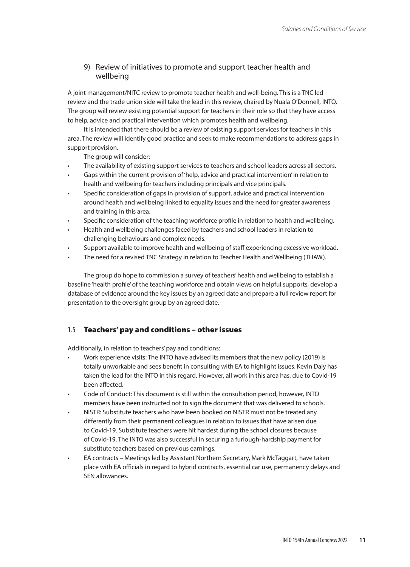# 9) Review of initiatives to promote and support teacher health and wellbeing

A joint management/NITC review to promote teacher health and well-being. This is a TNC led review and the trade union side will take the lead in this review, chaired by Nuala O'Donnell, INTO. The group will review existing potential support for teachers in their role so that they have access to help, advice and practical intervention which promotes health and wellbeing.

It is intended that there should be a review of existing support services for teachers in this area. The review will identify good practice and seek to make recommendations to address gaps in support provision.

The group will consider:

- The availability of existing support services to teachers and school leaders across all sectors.
- Gaps within the current provision of 'help, advice and practical intervention' in relation to health and wellbeing for teachers including principals and vice principals.
- Specific consideration of gaps in provision of support, advice and practical intervention around health and wellbeing linked to equality issues and the need for greater awareness and training in this area.
- Specific consideration of the teaching workforce profile in relation to health and wellbeing.
- Health and wellbeing challenges faced by teachers and school leaders in relation to challenging behaviours and complex needs.
- Support available to improve health and wellbeing of staff experiencing excessive workload.
- The need for a revised TNC Strategy in relation to Teacher Health and Wellbeing (THAW).

The group do hope to commission a survey of teachers' health and wellbeing to establish a baseline 'health profile' of the teaching workforce and obtain views on helpful supports, develop a database of evidence around the key issues by an agreed date and prepare a full review report for presentation to the oversight group by an agreed date.

# 1.5 Teachers' pay and conditions – other issues

Additionally, in relation to teachers' pay and conditions:

- Work experience visits: The INTO have advised its members that the new policy (2019) is totally unworkable and sees benefit in consulting with EA to highlight issues. Kevin Daly has taken the lead for the INTO in this regard. However, all work in this area has, due to Covid-19 been affected.
- Code of Conduct: This document is still within the consultation period, however, INTO members have been instructed not to sign the document that was delivered to schools.
- NISTR: Substitute teachers who have been booked on NISTR must not be treated any differently from their permanent colleagues in relation to issues that have arisen due to Covid-19. Substitute teachers were hit hardest during the school closures because of Covid-19. The INTO was also successful in securing a furlough-hardship payment for substitute teachers based on previous earnings.
- EA contracts Meetings led by Assistant Northern Secretary, Mark McTaggart, have taken place with EA officials in regard to hybrid contracts, essential car use, permanency delays and SEN allowances.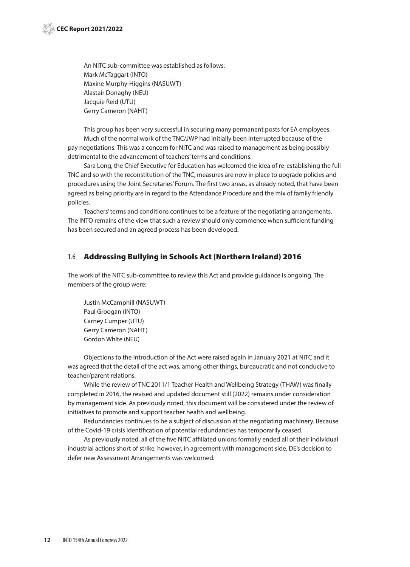An NITC sub-committee was established as follows: Mark McTaggart (INTO) Maxine Murphy-Higgins (NASUWT) Alastair Donaghy (NEU) Jacquie Reid (UTU) Gerry Cameron (NAHT)

This group has been very successful in securing many permanent posts for EA employees. Much of the normal work of the TNC/JWP had initially been interrupted because of the pay negotiations. This was a concern for NITC and was raised to management as being possibly detrimental to the advancement of teachers' terms and conditions.

Sara Long, the Chief Executive for Education has welcomed the idea of re-establishing the full TNC and so with the reconstitution of the TNC, measures are now in place to upgrade policies and procedures using the Joint Secretaries' Forum. The first two areas, as already noted, that have been agreed as being priority are in regard to the Attendance Procedure and the mix of family friendly policies.

Teachers' terms and conditions continues to be a feature of the negotiating arrangements. The INTO remains of the view that such a review should only commence when sufficient funding has been secured and an agreed process has been developed.

# 1.6 Addressing Bullying in Schools Act (Northern Ireland) 2016

The work of the NITC sub-committee to review this Act and provide guidance is ongoing. The members of the group were:

Justin McCamphill (NASUWT) Paul Groogan (INTO) Carney Cumper (UTU) Gerry Cameron (NAHT) Gordon White (NEU)

Objections to the introduction of the Act were raised again in January 2021 at NITC and it was agreed that the detail of the act was, among other things, bureaucratic and not conducive to teacher/parent relations.

While the review of TNC 2011/1 Teacher Health and Wellbeing Strategy (THAW) was finally completed in 2016, the revised and updated document still (2022) remains under consideration by management side. As previously noted, this document will be considered under the review of initiatives to promote and support teacher health and wellbeing.

Redundancies continues to be a subject of discussion at the negotiating machinery. Because of the Covid-19 crisis identification of potential redundancies has temporarily ceased.

As previously noted, all of the five NITC affiliated unions formally ended all of their individual industrial actions short of strike, however, in agreement with management side, DE's decision to defer new Assessment Arrangements was welcomed.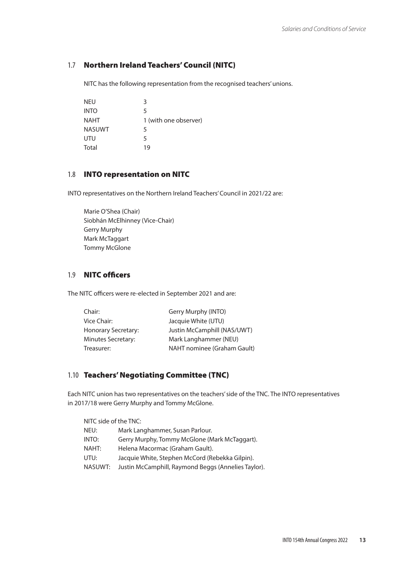# 1.7 Northern Ireland Teachers' Council (NITC)

NITC has the following representation from the recognised teachers' unions.

NEU 3 INTO 5 NAHT 1 (with one observer) NASUWT 5 UTU 5 Total 19

# 1.8 INTO representation on NITC

INTO representatives on the Northern Ireland Teachers' Council in 2021/22 are:

Marie O'Shea (Chair) Siobhán McElhinney (Vice-Chair) Gerry Murphy Mark McTaggart Tommy McGlone

# 1.9 NITC officers

The NITC officers were re-elected in September 2021 and are:

| Gerry Murphy (INTO)         |
|-----------------------------|
| Jacquie White (UTU)         |
| Justin McCamphill (NAS/UWT) |
| Mark Langhammer (NEU)       |
| NAHT nominee (Graham Gault) |
|                             |

# 1.10 Teachers' Negotiating Committee (TNC)

Each NITC union has two representatives on the teachers' side of the TNC. The INTO representatives in 2017/18 were Gerry Murphy and Tommy McGlone.

NITC side of the TNC:

| NEU:              | Mark Langhammer, Susan Parlour.                 |
|-------------------|-------------------------------------------------|
| INTO:             | Gerry Murphy, Tommy McGlone (Mark McTaggart).   |
| NAHT:             | Helena Macormac (Graham Gault).                 |
| UTU:              | Jacquie White, Stephen McCord (Rebekka Gilpin). |
| <b>NIA CINAIT</b> |                                                 |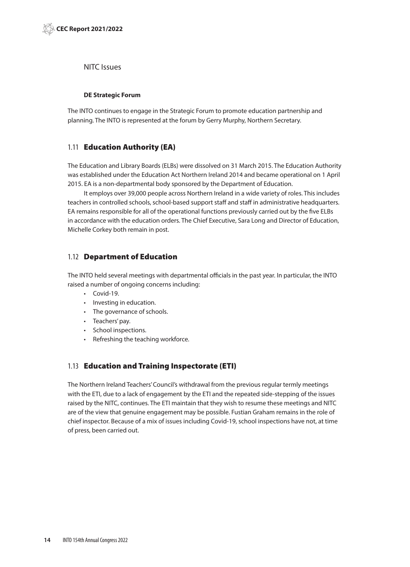# NITC Issues

#### **DE Strategic Forum**

The INTO continues to engage in the Strategic Forum to promote education partnership and planning. The INTO is represented at the forum by Gerry Murphy, Northern Secretary.

# 1.11 Education Authority (EA)

The Education and Library Boards (ELBs) were dissolved on 31 March 2015. The Education Authority was established under the Education Act Northern Ireland 2014 and became operational on 1 April 2015. EA is a non-departmental body sponsored by the Department of Education.

It employs over 39,000 people across Northern Ireland in a wide variety of roles. This includes teachers in controlled schools, school-based support staff and staff in administrative headquarters. EA remains responsible for all of the operational functions previously carried out by the five ELBs in accordance with the education orders. The Chief Executive, Sara Long and Director of Education, Michelle Corkey both remain in post.

# 1.12 Department of Education

The INTO held several meetings with departmental officials in the past year. In particular, the INTO raised a number of ongoing concerns including:

- Covid-19.
- Investing in education.
- The governance of schools.
- Teachers' pay.
- School inspections.
- Refreshing the teaching workforce.

# 1.13 Education and Training Inspectorate (ETI)

The Northern Ireland Teachers' Council's withdrawal from the previous regular termly meetings with the ETI, due to a lack of engagement by the ETI and the repeated side-stepping of the issues raised by the NITC, continues. The ETI maintain that they wish to resume these meetings and NITC are of the view that genuine engagement may be possible. Fustian Graham remains in the role of chief inspector. Because of a mix of issues including Covid-19, school inspections have not, at time of press, been carried out.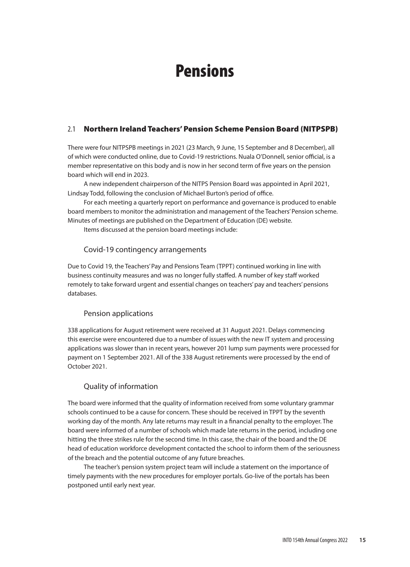# Pensions

# 2.1 Northern Ireland Teachers' Pension Scheme Pension Board (NITPSPB)

There were four NITPSPB meetings in 2021 (23 March, 9 June, 15 September and 8 December), all of which were conducted online, due to Covid-19 restrictions. Nuala O'Donnell, senior official, is a member representative on this body and is now in her second term of five years on the pension board which will end in 2023.

A new independent chairperson of the NITPS Pension Board was appointed in April 2021, Lindsay Todd, following the conclusion of Michael Burton's period of office.

For each meeting a quarterly report on performance and governance is produced to enable board members to monitor the administration and management of the Teachers' Pension scheme. Minutes of meetings are published on the Department of Education (DE) website.

Items discussed at the pension board meetings include:

# Covid-19 contingency arrangements

Due to Covid 19, the Teachers' Pay and Pensions Team (TPPT) continued working in line with business continuity measures and was no longer fully staffed. A number of key staff worked remotely to take forward urgent and essential changes on teachers' pay and teachers' pensions databases.

#### Pension applications

338 applications for August retirement were received at 31 August 2021. Delays commencing this exercise were encountered due to a number of issues with the new IT system and processing applications was slower than in recent years, however 201 lump sum payments were processed for payment on 1 September 2021. All of the 338 August retirements were processed by the end of October 2021.

# Quality of information

The board were informed that the quality of information received from some voluntary grammar schools continued to be a cause for concern. These should be received in TPPT by the seventh working day of the month. Any late returns may result in a financial penalty to the employer. The board were informed of a number of schools which made late returns in the period, including one hitting the three strikes rule for the second time. In this case, the chair of the board and the DE head of education workforce development contacted the school to inform them of the seriousness of the breach and the potential outcome of any future breaches.

The teacher's pension system project team will include a statement on the importance of timely payments with the new procedures for employer portals. Go-live of the portals has been postponed until early next year.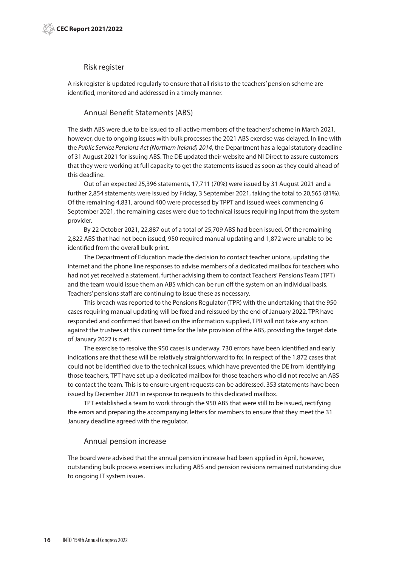#### Risk register

A risk register is updated regularly to ensure that all risks to the teachers' pension scheme are identified, monitored and addressed in a timely manner.

#### Annual Benefit Statements (ABS)

The sixth ABS were due to be issued to all active members of the teachers' scheme in March 2021, however, due to ongoing issues with bulk processes the 2021 ABS exercise was delayed. In line with the *Public Service Pensions Act (Northern Ireland) 2014*, the Department has a legal statutory deadline of 31 August 2021 for issuing ABS. The DE updated their website and NI Direct to assure customers that they were working at full capacity to get the statements issued as soon as they could ahead of this deadline.

Out of an expected 25,396 statements, 17,711 (70%) were issued by 31 August 2021 and a further 2,854 statements were issued by Friday, 3 September 2021, taking the total to 20,565 (81%). Of the remaining 4,831, around 400 were processed by TPPT and issued week commencing 6 September 2021, the remaining cases were due to technical issues requiring input from the system provider.

By 22 October 2021, 22,887 out of a total of 25,709 ABS had been issued. Of the remaining 2,822 ABS that had not been issued, 950 required manual updating and 1,872 were unable to be identified from the overall bulk print.

The Department of Education made the decision to contact teacher unions, updating the internet and the phone line responses to advise members of a dedicated mailbox for teachers who had not yet received a statement, further advising them to contact Teachers' Pensions Team (TPT) and the team would issue them an ABS which can be run off the system on an individual basis. Teachers' pensions staff are continuing to issue these as necessary.

This breach was reported to the Pensions Regulator (TPR) with the undertaking that the 950 cases requiring manual updating will be fixed and reissued by the end of January 2022. TPR have responded and confirmed that based on the information supplied, TPR will not take any action against the trustees at this current time for the late provision of the ABS, providing the target date of January 2022 is met.

The exercise to resolve the 950 cases is underway. 730 errors have been identified and early indications are that these will be relatively straightforward to fix. In respect of the 1,872 cases that could not be identified due to the technical issues, which have prevented the DE from identifying those teachers, TPT have set up a dedicated mailbox for those teachers who did not receive an ABS to contact the team. This is to ensure urgent requests can be addressed. 353 statements have been issued by December 2021 in response to requests to this dedicated mailbox.

TPT established a team to work through the 950 ABS that were still to be issued, rectifying the errors and preparing the accompanying letters for members to ensure that they meet the 31 January deadline agreed with the regulator.

#### Annual pension increase

The board were advised that the annual pension increase had been applied in April, however, outstanding bulk process exercises including ABS and pension revisions remained outstanding due to ongoing IT system issues.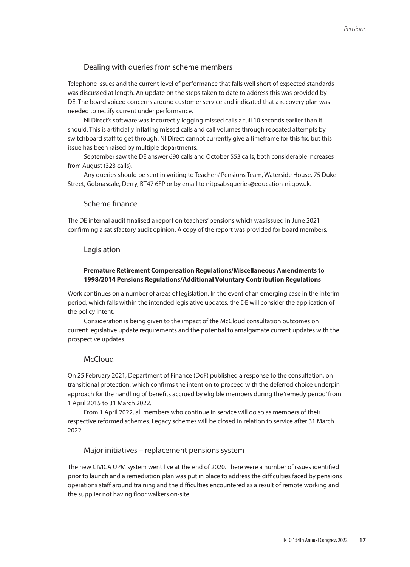# Dealing with queries from scheme members

Telephone issues and the current level of performance that falls well short of expected standards was discussed at length. An update on the steps taken to date to address this was provided by DE. The board voiced concerns around customer service and indicated that a recovery plan was needed to rectify current under performance.

NI Direct's software was incorrectly logging missed calls a full 10 seconds earlier than it should. This is artificially inflating missed calls and call volumes through repeated attempts by switchboard staff to get through. NI Direct cannot currently give a timeframe for this fix, but this issue has been raised by multiple departments.

September saw the DE answer 690 calls and October 553 calls, both considerable increases from August (323 calls).

Any queries should be sent in writing to Teachers' Pensions Team, Waterside House, 75 Duke Street, Gobnascale, Derry, BT47 6FP or by email to nitpsabsqueries@education-ni.gov.uk.

#### Scheme finance

The DE internal audit finalised a report on teachers' pensions which was issued in June 2021 confirming a satisfactory audit opinion. A copy of the report was provided for board members.

#### Legislation

### **Premature Retirement Compensation Regulations/Miscellaneous Amendments to 1998/2014 Pensions Regulations/Additional Voluntary Contribution Regulations**

Work continues on a number of areas of legislation. In the event of an emerging case in the interim period, which falls within the intended legislative updates, the DE will consider the application of the policy intent.

Consideration is being given to the impact of the McCloud consultation outcomes on current legislative update requirements and the potential to amalgamate current updates with the prospective updates.

#### **McCloud**

On 25 February 2021, Department of Finance (DoF) published a response to the consultation, on transitional protection, which confirms the intention to proceed with the deferred choice underpin approach for the handling of benefits accrued by eligible members during the 'remedy period' from 1 April 2015 to 31 March 2022.

From 1 April 2022, all members who continue in service will do so as members of their respective reformed schemes. Legacy schemes will be closed in relation to service after 31 March 2022.

#### Major initiatives – replacement pensions system

The new CIVICA UPM system went live at the end of 2020. There were a number of issues identified prior to launch and a remediation plan was put in place to address the difficulties faced by pensions operations staff around training and the difficulties encountered as a result of remote working and the supplier not having floor walkers on-site.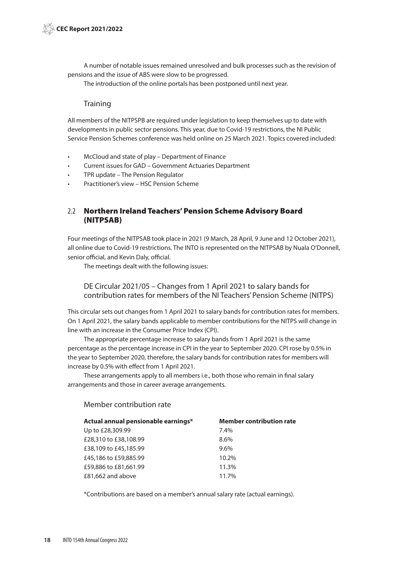A number of notable issues remained unresolved and bulk processes such as the revision of pensions and the issue of ABS were slow to be progressed.

The introduction of the online portals has been postponed until next year.

# **Training**

All members of the NITPSPB are required under legislation to keep themselves up to date with developments in public sector pensions. This year, due to Covid-19 restrictions, the NI Public Service Pension Schemes conference was held online on 25 March 2021. Topics covered included:

- McCloud and state of play Department of Finance
- Current issues for GAD Government Actuaries Department
- TPR update The Pension Regulator
- Practitioner's view HSC Pension Scheme

# 2.2 Northern Ireland Teachers' Pension Scheme Advisory Board (NITPSAB)

Four meetings of the NITPSAB took place in 2021 (9 March, 28 April, 9 June and 12 October 2021), all online due to Covid-19 restrictions. The INTO is represented on the NITPSAB by Nuala O'Donnell, senior official, and Kevin Daly, official.

The meetings dealt with the following issues:

# DE Circular 2021/05 – Changes from 1 April 2021 to salary bands for contribution rates for members of the NI Teachers' Pension Scheme (NITPS)

This circular sets out changes from 1 April 2021 to salary bands for contribution rates for members. On 1 April 2021, the salary bands applicable to member contributions for the NITPS will change in line with an increase in the Consumer Price Index (CPI).

The appropriate percentage increase to salary bands from 1 April 2021 is the same percentage as the percentage increase in CPI in the year to September 2020. CPI rose by 0.5% in the year to September 2020, therefore, the salary bands for contribution rates for members will increase by 0.5% with effect from 1 April 2021.

These arrangements apply to all members i.e., both those who remain in final salary arrangements and those in career average arrangements.

| Actual annual pensionable earnings* | <b>Member contribution rate</b> |
|-------------------------------------|---------------------------------|
| Up to £28,309.99                    | 7.4%                            |
| £28,310 to £38,108.99               | $8.6\%$                         |
| £38,109 to £45,185.99               | 9.6%                            |
| £45,186 to £59,885.99               | 10.2%                           |
| £59,886 to £81,661.99               | 11.3%                           |
| £81.662 and above                   | 11.7%                           |

Member contribution rate

\*Contributions are based on a member's annual salary rate (actual earnings).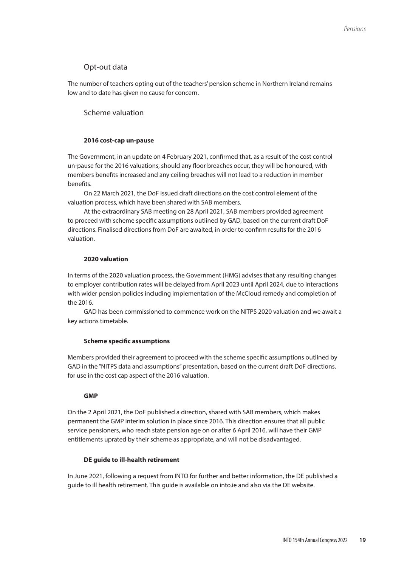# Opt-out data

The number of teachers opting out of the teachers' pension scheme in Northern Ireland remains low and to date has given no cause for concern.

Scheme valuation

#### **2016 cost-cap un-pause**

The Government, in an update on 4 February 2021, confirmed that, as a result of the cost control un-pause for the 2016 valuations, should any floor breaches occur, they will be honoured, with members benefits increased and any ceiling breaches will not lead to a reduction in member benefits.

On 22 March 2021, the DoF issued draft directions on the cost control element of the valuation process, which have been shared with SAB members.

At the extraordinary SAB meeting on 28 April 2021, SAB members provided agreement to proceed with scheme specific assumptions outlined by GAD, based on the current draft DoF directions. Finalised directions from DoF are awaited, in order to confirm results for the 2016 valuation.

#### **2020 valuation**

In terms of the 2020 valuation process, the Government (HMG) advises that any resulting changes to employer contribution rates will be delayed from April 2023 until April 2024, due to interactions with wider pension policies including implementation of the McCloud remedy and completion of the 2016.

GAD has been commissioned to commence work on the NITPS 2020 valuation and we await a key actions timetable.

#### **Scheme specific assumptions**

Members provided their agreement to proceed with the scheme specific assumptions outlined by GAD in the "NITPS data and assumptions" presentation, based on the current draft DoF directions, for use in the cost cap aspect of the 2016 valuation.

#### **GMP**

On the 2 April 2021, the DoF published a direction, shared with SAB members, which makes permanent the GMP interim solution in place since 2016. This direction ensures that all public service pensioners, who reach state pension age on or after 6 April 2016, will have their GMP entitlements uprated by their scheme as appropriate, and will not be disadvantaged.

#### **DE guide to ill-health retirement**

In June 2021, following a request from INTO for further and better information, the DE published a guide to ill health retirement. This guide is available on into.ie and also via the DE website.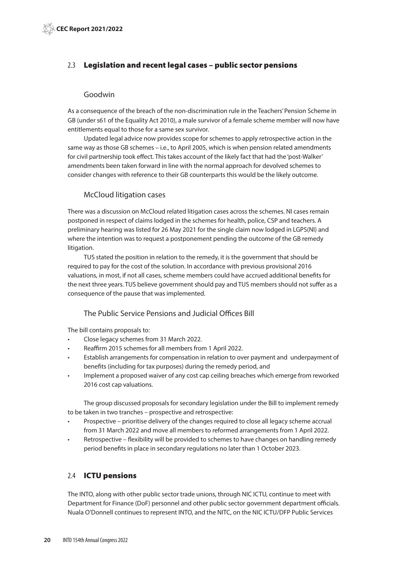# 2.3 Legislation and recent legal cases – public sector pensions

### Goodwin

As a consequence of the breach of the non-discrimination rule in the Teachers' Pension Scheme in GB (under s61 of the Equality Act 2010), a male survivor of a female scheme member will now have entitlements equal to those for a same sex survivor.

Updated legal advice now provides scope for schemes to apply retrospective action in the same way as those GB schemes – i.e., to April 2005, which is when pension related amendments for civil partnership took effect. This takes account of the likely fact that had the 'post-Walker' amendments been taken forward in line with the normal approach for devolved schemes to consider changes with reference to their GB counterparts this would be the likely outcome.

# McCloud litigation cases

There was a discussion on McCloud related litigation cases across the schemes. NI cases remain postponed in respect of claims lodged in the schemes for health, police, CSP and teachers. A preliminary hearing was listed for 26 May 2021 for the single claim now lodged in LGPS(NI) and where the intention was to request a postponement pending the outcome of the GB remedy litigation.

TUS stated the position in relation to the remedy, it is the government that should be required to pay for the cost of the solution. In accordance with previous provisional 2016 valuations, in most, if not all cases, scheme members could have accrued additional benefits for the next three years. TUS believe government should pay and TUS members should not suffer as a consequence of the pause that was implemented.

#### The Public Service Pensions and Judicial Offices Bill

The bill contains proposals to:

- Close legacy schemes from 31 March 2022.
- Reaffirm 2015 schemes for all members from 1 April 2022.
- Establish arrangements for compensation in relation to over payment and underpayment of benefits (including for tax purposes) during the remedy period, and
- Implement a proposed waiver of any cost cap ceiling breaches which emerge from reworked 2016 cost cap valuations.

The group discussed proposals for secondary legislation under the Bill to implement remedy to be taken in two tranches – prospective and retrospective:

- Prospective prioritise delivery of the changes required to close all legacy scheme accrual from 31 March 2022 and move all members to reformed arrangements from 1 April 2022.
- Retrospective flexibility will be provided to schemes to have changes on handling remedy period benefits in place in secondary regulations no later than 1 October 2023.

# 2.4 ICTU pensions

The INTO, along with other public sector trade unions, through NIC ICTU, continue to meet with Department for Finance (DoF) personnel and other public sector government department officials. Nuala O'Donnell continues to represent INTO, and the NITC, on the NIC ICTU/DFP Public Services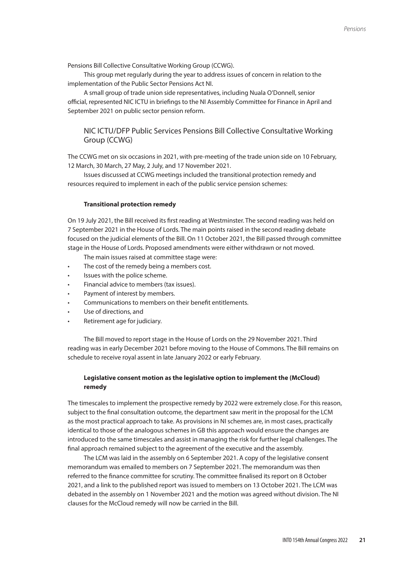Pensions Bill Collective Consultative Working Group (CCWG).

This group met regularly during the year to address issues of concern in relation to the implementation of the Public Sector Pensions Act NI.

A small group of trade union side representatives, including Nuala O'Donnell, senior official, represented NIC ICTU in briefings to the NI Assembly Committee for Finance in April and September 2021 on public sector pension reform.

# NIC ICTU/DFP Public Services Pensions Bill Collective Consultative Working Group (CCWG)

The CCWG met on six occasions in 2021, with pre-meeting of the trade union side on 10 February, 12 March, 30 March, 27 May, 2 July, and 17 November 2021.

Issues discussed at CCWG meetings included the transitional protection remedy and resources required to implement in each of the public service pension schemes:

#### **Transitional protection remedy**

On 19 July 2021, the Bill received its first reading at Westminster. The second reading was held on 7 September 2021 in the House of Lords. The main points raised in the second reading debate focused on the judicial elements of the Bill. On 11 October 2021, the Bill passed through committee stage in the House of Lords. Proposed amendments were either withdrawn or not moved.

The main issues raised at committee stage were:

- The cost of the remedy being a members cost.
- Issues with the police scheme.
- Financial advice to members (tax issues).
- Payment of interest by members.
- Communications to members on their benefit entitlements.
- Use of directions, and
- Retirement age for judiciary.

The Bill moved to report stage in the House of Lords on the 29 November 2021. Third reading was in early December 2021 before moving to the House of Commons. The Bill remains on schedule to receive royal assent in late January 2022 or early February.

#### **Legislative consent motion as the legislative option to implement the (McCloud) remedy**

The timescales to implement the prospective remedy by 2022 were extremely close. For this reason, subject to the final consultation outcome, the department saw merit in the proposal for the LCM as the most practical approach to take. As provisions in NI schemes are, in most cases, practically identical to those of the analogous schemes in GB this approach would ensure the changes are introduced to the same timescales and assist in managing the risk for further legal challenges. The final approach remained subject to the agreement of the executive and the assembly.

The LCM was laid in the assembly on 6 September 2021. A copy of the legislative consent memorandum was emailed to members on 7 September 2021. The memorandum was then referred to the finance committee for scrutiny. The committee finalised its report on 8 October 2021, and a link to the published report was issued to members on 13 October 2021. The LCM was debated in the assembly on 1 November 2021 and the motion was agreed without division. The NI clauses for the McCloud remedy will now be carried in the Bill.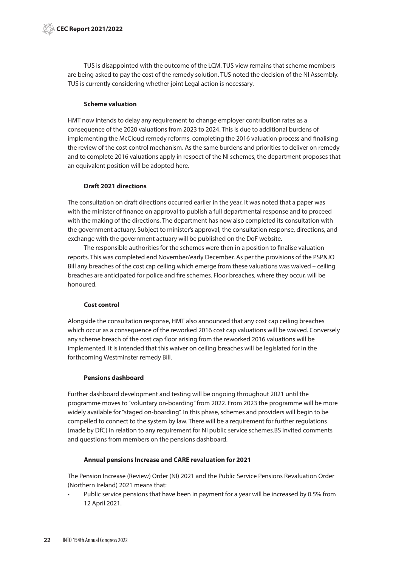TUS is disappointed with the outcome of the LCM. TUS view remains that scheme members are being asked to pay the cost of the remedy solution. TUS noted the decision of the NI Assembly. TUS is currently considering whether joint Legal action is necessary.

#### **Scheme valuation**

HMT now intends to delay any requirement to change employer contribution rates as a consequence of the 2020 valuations from 2023 to 2024. This is due to additional burdens of implementing the McCloud remedy reforms, completing the 2016 valuation process and finalising the review of the cost control mechanism. As the same burdens and priorities to deliver on remedy and to complete 2016 valuations apply in respect of the NI schemes, the department proposes that an equivalent position will be adopted here.

#### **Draft 2021 directions**

The consultation on draft directions occurred earlier in the year. It was noted that a paper was with the minister of finance on approval to publish a full departmental response and to proceed with the making of the directions. The department has now also completed its consultation with the government actuary. Subject to minister's approval, the consultation response, directions, and exchange with the government actuary will be published on the DoF website.

The responsible authorities for the schemes were then in a position to finalise valuation reports. This was completed end November/early December. As per the provisions of the PSP&JO Bill any breaches of the cost cap ceiling which emerge from these valuations was waived – ceiling breaches are anticipated for police and fire schemes. Floor breaches, where they occur, will be honoured.

#### **Cost control**

Alongside the consultation response, HMT also announced that any cost cap ceiling breaches which occur as a consequence of the reworked 2016 cost cap valuations will be waived. Conversely any scheme breach of the cost cap floor arising from the reworked 2016 valuations will be implemented. It is intended that this waiver on ceiling breaches will be legislated for in the forthcoming Westminster remedy Bill.

#### **Pensions dashboard**

Further dashboard development and testing will be ongoing throughout 2021 until the programme moves to "voluntary on-boarding" from 2022. From 2023 the programme will be more widely available for "staged on-boarding". In this phase, schemes and providers will begin to be compelled to connect to the system by law. There will be a requirement for further regulations (made by DfC) in relation to any requirement for NI public service schemes.BS invited comments and questions from members on the pensions dashboard.

#### **Annual pensions Increase and CARE revaluation for 2021**

The Pension Increase (Review) Order (NI) 2021 and the Public Service Pensions Revaluation Order (Northern Ireland) 2021 means that:

• Public service pensions that have been in payment for a year will be increased by 0.5% from 12 April 2021.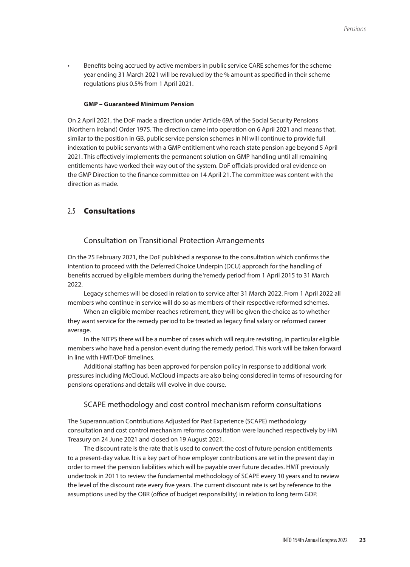• Benefits being accrued by active members in public service CARE schemes for the scheme year ending 31 March 2021 will be revalued by the % amount as specified in their scheme regulations plus 0.5% from 1 April 2021.

#### **GMP – Guaranteed Minimum Pension**

On 2 April 2021, the DoF made a direction under Article 69A of the Social Security Pensions (Northern Ireland) Order 1975. The direction came into operation on 6 April 2021 and means that, similar to the position in GB, public service pension schemes in NI will continue to provide full indexation to public servants with a GMP entitlement who reach state pension age beyond 5 April 2021. This effectively implements the permanent solution on GMP handling until all remaining entitlements have worked their way out of the system. DoF officials provided oral evidence on the GMP Direction to the finance committee on 14 April 21. The committee was content with the direction as made.

# 2.5 Consultations

#### Consultation on Transitional Protection Arrangements

On the 25 February 2021, the DoF published a response to the consultation which confirms the intention to proceed with the Deferred Choice Underpin (DCU) approach for the handling of benefits accrued by eligible members during the 'remedy period' from 1 April 2015 to 31 March 2022.

Legacy schemes will be closed in relation to service after 31 March 2022. From 1 April 2022 all members who continue in service will do so as members of their respective reformed schemes.

When an eligible member reaches retirement, they will be given the choice as to whether they want service for the remedy period to be treated as legacy final salary or reformed career average.

In the NITPS there will be a number of cases which will require revisiting, in particular eligible members who have had a pension event during the remedy period. This work will be taken forward in line with HMT/DoF timelines.

Additional staffing has been approved for pension policy in response to additional work pressures including McCloud. McCloud impacts are also being considered in terms of resourcing for pensions operations and details will evolve in due course.

#### SCAPE methodology and cost control mechanism reform consultations

The Superannuation Contributions Adjusted for Past Experience (SCAPE) methodology consultation and cost control mechanism reforms consultation were launched respectively by HM Treasury on 24 June 2021 and closed on 19 August 2021.

The discount rate is the rate that is used to convert the cost of future pension entitlements to a present-day value. It is a key part of how employer contributions are set in the present day in order to meet the pension liabilities which will be payable over future decades. HMT previously undertook in 2011 to review the fundamental methodology of SCAPE every 10 years and to review the level of the discount rate every five years. The current discount rate is set by reference to the assumptions used by the OBR (office of budget responsibility) in relation to long term GDP.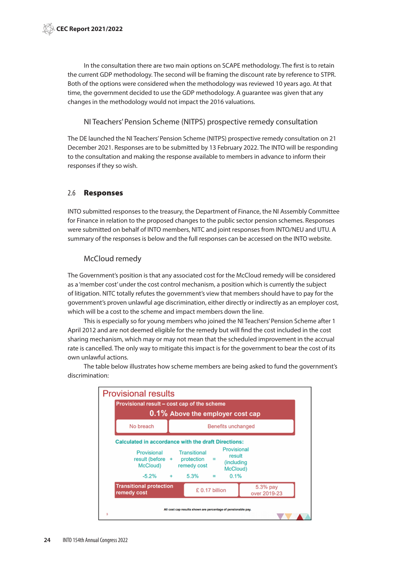In the consultation there are two main options on SCAPE methodology. The first is to retain the current GDP methodology. The second will be framing the discount rate by reference to STPR. Both of the options were considered when the methodology was reviewed 10 years ago. At that time, the government decided to use the GDP methodology. A guarantee was given that any changes in the methodology would not impact the 2016 valuations.

# NI Teachers' Pension Scheme (NITPS) prospective remedy consultation

The DE launched the NI Teachers' Pension Scheme (NITPS) prospective remedy consultation on 21 December 2021. Responses are to be submitted by 13 February 2022. The INTO will be responding to the consultation and making the response available to members in advance to inform their responses if they so wish.

# 2.6 Responses

INTO submitted responses to the treasury, the Department of Finance, the NI Assembly Committee for Finance in relation to the proposed changes to the public sector pension schemes. Responses were submitted on behalf of INTO members, NITC and joint responses from INTO/NEU and UTU. A summary of the responses is below and the full responses can be accessed on the INTO website.

# McCloud remedy

The Government's position is that any associated cost for the McCloud remedy will be considered as a 'member cost' under the cost control mechanism, a position which is currently the subject of litigation. NITC totally refutes the government's view that members should have to pay for the government's proven unlawful age discrimination, either directly or indirectly as an employer cost, which will be a cost to the scheme and impact members down the line.

This is especially so for young members who joined the NI Teachers' Pension Scheme after 1 April 2012 and are not deemed eligible for the remedy but will find the cost included in the cost sharing mechanism, which may or may not mean that the scheduled improvement in the accrual rate is cancelled. The only way to mitigate this impact is for the government to bear the cost of its own unlawful actions.

> **Provisional results** Provisional result - cost cap of the scheme 0.1% Above the employer cost cap No breach **Benefits unchanged Calculated in accordance with the draft Directions:** Provisional Provisional **Transitional** result result (before + protection  $=$ (including McCloud) remedy cost McCloud)  $-5.2%$ 5.3%  $0.1%$  $\equiv$ **Transitional protection** 5.3% pay £ 0.17 billion remedy cost over 2019-23 All cost cap results shown are percentage of pensionable pay.

The table below illustrates how scheme members are being asked to fund the government's discrimination: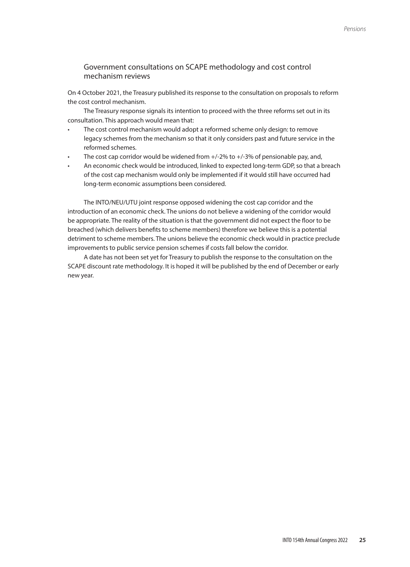# Government consultations on SCAPE methodology and cost control mechanism reviews

On 4 October 2021, the Treasury published its response to the consultation on proposals to reform the cost control mechanism.

The Treasury response signals its intention to proceed with the three reforms set out in its consultation. This approach would mean that:

- The cost control mechanism would adopt a reformed scheme only design: to remove legacy schemes from the mechanism so that it only considers past and future service in the reformed schemes.
- The cost cap corridor would be widened from  $+/-2\%$  to  $+/-3\%$  of pensionable pay, and,
- An economic check would be introduced, linked to expected long-term GDP, so that a breach of the cost cap mechanism would only be implemented if it would still have occurred had long-term economic assumptions been considered.

The INTO/NEU/UTU joint response opposed widening the cost cap corridor and the introduction of an economic check. The unions do not believe a widening of the corridor would be appropriate. The reality of the situation is that the government did not expect the floor to be breached (which delivers benefits to scheme members) therefore we believe this is a potential detriment to scheme members. The unions believe the economic check would in practice preclude improvements to public service pension schemes if costs fall below the corridor.

A date has not been set yet for Treasury to publish the response to the consultation on the SCAPE discount rate methodology. It is hoped it will be published by the end of December or early new year.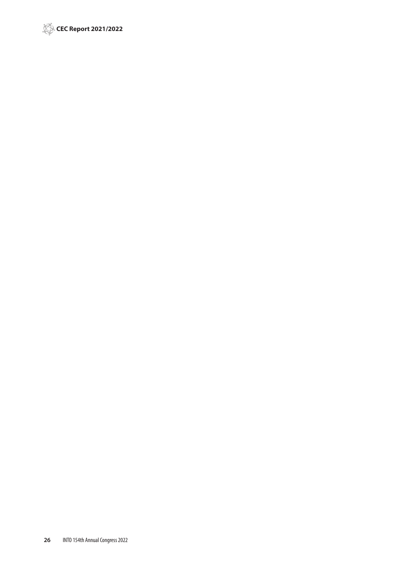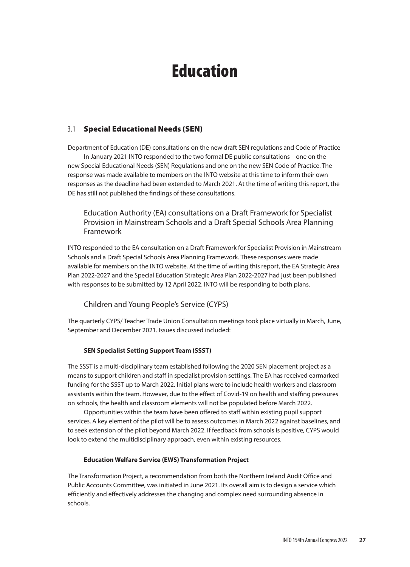# Education

# 3.1 Special Educational Needs (SEN)

Department of Education (DE) consultations on the new draft SEN regulations and Code of Practice In January 2021 INTO responded to the two formal DE public consultations – one on the new Special Educational Needs (SEN) Regulations and one on the new SEN Code of Practice. The response was made available to members on the INTO website at this time to inform their own responses as the deadline had been extended to March 2021. At the time of writing this report, the DE has still not published the findings of these consultations.

# Education Authority (EA) consultations on a Draft Framework for Specialist Provision in Mainstream Schools and a Draft Special Schools Area Planning Framework

INTO responded to the EA consultation on a Draft Framework for Specialist Provision in Mainstream Schools and a Draft Special Schools Area Planning Framework. These responses were made available for members on the INTO website. At the time of writing this report, the EA Strategic Area Plan 2022-2027 and the Special Education Strategic Area Plan 2022-2027 had just been published with responses to be submitted by 12 April 2022. INTO will be responding to both plans.

Children and Young People's Service (CYPS)

The quarterly CYPS/ Teacher Trade Union Consultation meetings took place virtually in March, June, September and December 2021. Issues discussed included:

#### **SEN Specialist Setting Support Team (SSST)**

The SSST is a multi-disciplinary team established following the 2020 SEN placement project as a means to support children and staff in specialist provision settings. The EA has received earmarked funding for the SSST up to March 2022. Initial plans were to include health workers and classroom assistants within the team. However, due to the effect of Covid-19 on health and staffing pressures on schools, the health and classroom elements will not be populated before March 2022.

Opportunities within the team have been offered to staff within existing pupil support services. A key element of the pilot will be to assess outcomes in March 2022 against baselines, and to seek extension of the pilot beyond March 2022. If feedback from schools is positive, CYPS would look to extend the multidisciplinary approach, even within existing resources.

#### **Education Welfare Service (EWS) Transformation Project**

The Transformation Project, a recommendation from both the Northern Ireland Audit Office and Public Accounts Committee, was initiated in June 2021. Its overall aim is to design a service which efficiently and effectively addresses the changing and complex need surrounding absence in schools.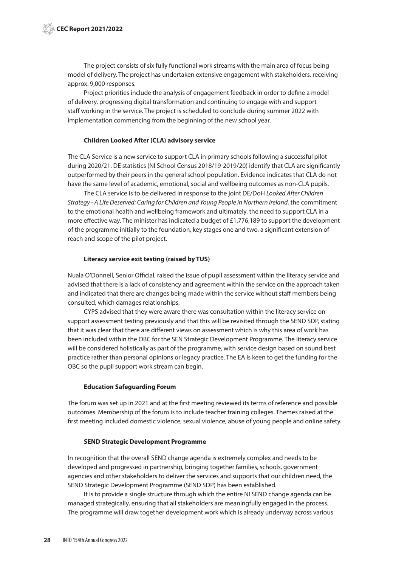The project consists of six fully functional work streams with the main area of focus being model of delivery. The project has undertaken extensive engagement with stakeholders, receiving approx. 9,000 responses.

Project priorities include the analysis of engagement feedback in order to define a model of delivery, progressing digital transformation and continuing to engage with and support staff working in the service. The project is scheduled to conclude during summer 2022 with implementation commencing from the beginning of the new school year.

#### **Children Looked After (CLA) advisory service**

The CLA Service is a new service to support CLA in primary schools following a successful pilot during 2020/21. DE statistics (NI School Census 2018/19-2019/20) identify that CLA are significantly outperformed by their peers in the general school population. Evidence indicates that CLA do not have the same level of academic, emotional, social and wellbeing outcomes as non-CLA pupils.

The CLA service is to be delivered in response to the joint DE/DoH *Looked After Children Strategy - A Life Deserved: Caring for Children and Young People in Northern Ireland*, the commitment to the emotional health and wellbeing framework and ultimately, the need to support CLA in a more effective way. The minister has indicated a budget of £1,776,189 to support the development of the programme initially to the foundation, key stages one and two, a significant extension of reach and scope of the pilot project.

#### **Literacy service exit testing (raised by TUS)**

Nuala O'Donnell, Senior Official, raised the issue of pupil assessment within the literacy service and advised that there is a lack of consistency and agreement within the service on the approach taken and indicated that there are changes being made within the service without staff members being consulted, which damages relationships.

CYPS advised that they were aware there was consultation within the literacy service on support assessment testing previously and that this will be revisited through the SEND SDP, stating that it was clear that there are different views on assessment which is why this area of work has been included within the OBC for the SEN Strategic Development Programme. The literacy service will be considered holistically as part of the programme, with service design based on sound best practice rather than personal opinions or legacy practice. The EA is keen to get the funding for the OBC so the pupil support work stream can begin.

#### **Education Safeguarding Forum**

The forum was set up in 2021 and at the first meeting reviewed its terms of reference and possible outcomes. Membership of the forum is to include teacher training colleges. Themes raised at the first meeting included domestic violence, sexual violence, abuse of young people and online safety.

#### **SEND Strategic Development Programme**

In recognition that the overall SEND change agenda is extremely complex and needs to be developed and progressed in partnership, bringing together families, schools, government agencies and other stakeholders to deliver the services and supports that our children need, the SEND Strategic Development Programme (SEND SDP) has been established.

It is to provide a single structure through which the entire NI SEND change agenda can be managed strategically, ensuring that all stakeholders are meaningfully engaged in the process. The programme will draw together development work which is already underway across various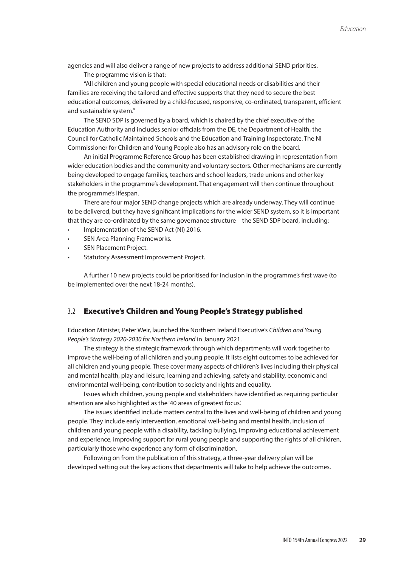agencies and will also deliver a range of new projects to address additional SEND priorities. The programme vision is that:

"All children and young people with special educational needs or disabilities and their families are receiving the tailored and effective supports that they need to secure the best educational outcomes, delivered by a child-focused, responsive, co-ordinated, transparent, efficient and sustainable system."

The SEND SDP is governed by a board, which is chaired by the chief executive of the Education Authority and includes senior officials from the DE, the Department of Health, the Council for Catholic Maintained Schools and the Education and Training Inspectorate. The NI Commissioner for Children and Young People also has an advisory role on the board.

An initial Programme Reference Group has been established drawing in representation from wider education bodies and the community and voluntary sectors. Other mechanisms are currently being developed to engage families, teachers and school leaders, trade unions and other key stakeholders in the programme's development. That engagement will then continue throughout the programme's lifespan.

There are four major SEND change projects which are already underway. They will continue to be delivered, but they have significant implications for the wider SEND system, so it is important that they are co-ordinated by the same governance structure – the SEND SDP board, including:

- Implementation of the SEND Act (NI) 2016.
- SEN Area Planning Frameworks.
- SEN Placement Project.
- Statutory Assessment Improvement Project.

A further 10 new projects could be prioritised for inclusion in the programme's first wave (to be implemented over the next 18-24 months).

#### 3.2 Executive's Children and Young People's Strategy published

Education Minister, Peter Weir, launched the Northern Ireland Executive's *Children and Young People's Strategy 2020-2030 for Northern Ireland* in January 2021.

The strategy is the strategic framework through which departments will work together to improve the well-being of all children and young people. It lists eight outcomes to be achieved for all children and young people. These cover many aspects of children's lives including their physical and mental health, play and leisure, learning and achieving, safety and stability, economic and environmental well-being, contribution to society and rights and equality.

Issues which children, young people and stakeholders have identified as requiring particular attention are also highlighted as the '40 areas of greatest focus'.

The issues identified include matters central to the lives and well-being of children and young people. They include early intervention, emotional well-being and mental health, inclusion of children and young people with a disability, tackling bullying, improving educational achievement and experience, improving support for rural young people and supporting the rights of all children, particularly those who experience any form of discrimination.

Following on from the publication of this strategy, a three-year delivery plan will be developed setting out the key actions that departments will take to help achieve the outcomes.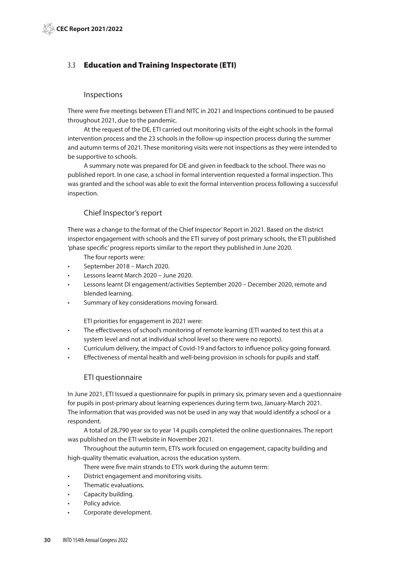# 3.3 Education and Training Inspectorate (ETI)

### Inspections

There were five meetings between ETI and NITC in 2021 and Inspections continued to be paused throughout 2021, due to the pandemic.

At the request of the DE, ETI carried out monitoring visits of the eight schools in the formal intervention process and the 23 schools in the follow-up inspection process during the summer and autumn terms of 2021. These monitoring visits were not inspections as they were intended to be supportive to schools.

A summary note was prepared for DE and given in feedback to the school. There was no published report. In one case, a school in formal intervention requested a formal inspection. This was granted and the school was able to exit the formal intervention process following a successful inspection.

# Chief Inspector's report

There was a change to the format of the Chief Inspector' Report in 2021. Based on the district inspector engagement with schools and the ETI survey of post primary schools, the ETI published 'phase specific' progress reports similar to the report they published in June 2020.

The four reports were:

- September 2018 March 2020.
- Lessons learnt March 2020 June 2020.
- Lessons learnt DI engagement/activities September 2020 December 2020, remote and blended learning.
- Summary of key considerations moving forward.

ETI priorities for engagement in 2021 were:

- The effectiveness of school's monitoring of remote learning (ETI wanted to test this at a system level and not at individual school level so there were no reports).
- Curriculum delivery, the impact of Covid-19 and factors to influence policy going forward.
- Effectiveness of mental health and well-being provision in schools for pupils and staff.

#### ETI questionnaire

In June 2021, ETI Issued a questionnaire for pupils in primary six, primary seven and a questionnaire for pupils in post-primary about learning experiences during term two, January-March 2021. The information that was provided was not be used in any way that would identify a school or a respondent.

A total of 28,790 year six to year 14 pupils completed the online questionnaires. The report was published on the ETI website in November 2021.

Throughout the autumn term, ETI's work focused on engagement, capacity building and high-quality thematic evaluation, across the education system.

There were five main strands to ETI's work during the autumn term:

- District engagement and monitoring visits.
- Thematic evaluations.
- Capacity building.
- Policy advice.
- Corporate development.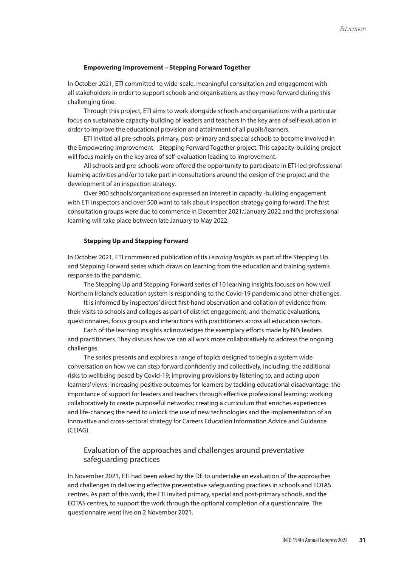#### **Empowering Improvement – Stepping Forward Together**

In October 2021, ETI committed to wide-scale, meaningful consultation and engagement with all stakeholders in order to support schools and organisations as they move forward during this challenging time.

Through this project, ETI aims to work alongside schools and organisations with a particular focus on sustainable capacity-building of leaders and teachers in the key area of self-evaluation in order to improve the educational provision and attainment of all pupils/learners.

ETI invited all pre-schools, primary, post-primary and special schools to become involved in the Empowering Improvement – Stepping Forward Together project. This capacity-building project will focus mainly on the key area of self-evaluation leading to improvement.

All schools and pre-schools were offered the opportunity to participate in ETI-led professional learning activities and/or to take part in consultations around the design of the project and the development of an inspection strategy.

Over 900 schools/organisations expressed an interest in capacity -building engagement with ETI inspectors and over 500 want to talk about inspection strategy going forward. The first consultation groups were due to commence in December 2021/January 2022 and the professional learning will take place between late January to May 2022.

#### **Stepping Up and Stepping Forward**

In October 2021, ETI commenced publication of its *Learning Insights* as part of the Stepping Up and Stepping Forward series which draws on learning from the education and training system's response to the pandemic.

The Stepping Up and Stepping Forward series of 10 learning insights focuses on how well Northern Ireland's education system is responding to the Covid-19 pandemic and other challenges.

It is informed by inspectors' direct first-hand observation and collation of evidence from: their visits to schools and colleges as part of district engagement; and thematic evaluations, questionnaires, focus groups and interactions with practitioners across all education sectors.

Each of the learning insights acknowledges the exemplary efforts made by NI's leaders and practitioners. They discuss how we can all work more collaboratively to address the ongoing challenges.

The series presents and explores a range of topics designed to begin a system wide conversation on how we can step forward confidently and collectively, including: the additional risks to wellbeing posed by Covid-19; improving provisions by listening to, and acting upon learners' views; increasing positive outcomes for learners by tackling educational disadvantage; the importance of support for leaders and teachers through effective professional learning; working collaboratively to create purposeful networks; creating a curriculum that enriches experiences and life-chances; the need to unlock the use of new technologies and the implementation of an innovative and cross-sectoral strategy for Careers Education Information Advice and Guidance (CEIAG).

# Evaluation of the approaches and challenges around preventative safeguarding practices

In November 2021, ETI had been asked by the DE to undertake an evaluation of the approaches and challenges in delivering effective preventative safeguarding practices in schools and EOTAS centres. As part of this work, the ETI invited primary, special and post-primary schools, and the EOTAS centres, to support the work through the optional completion of a questionnaire. The questionnaire went live on 2 November 2021.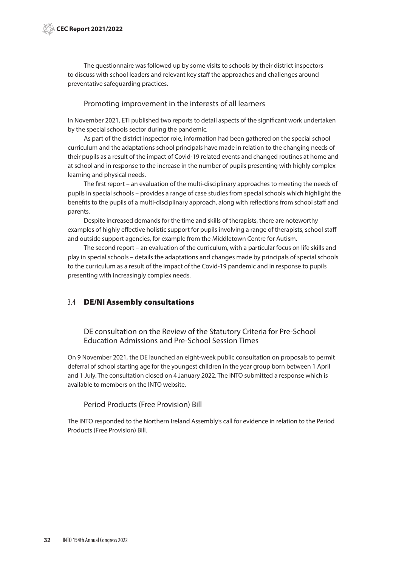The questionnaire was followed up by some visits to schools by their district inspectors to discuss with school leaders and relevant key staff the approaches and challenges around preventative safeguarding practices.

# Promoting improvement in the interests of all learners

In November 2021, ETI published two reports to detail aspects of the significant work undertaken by the special schools sector during the pandemic.

As part of the district inspector role, information had been gathered on the special school curriculum and the adaptations school principals have made in relation to the changing needs of their pupils as a result of the impact of Covid-19 related events and changed routines at home and at school and in response to the increase in the number of pupils presenting with highly complex learning and physical needs.

The first report – an evaluation of the multi-disciplinary approaches to meeting the needs of pupils in special schools – provides a range of case studies from special schools which highlight the benefits to the pupils of a multi-disciplinary approach, along with reflections from school staff and parents.

Despite increased demands for the time and skills of therapists, there are noteworthy examples of highly effective holistic support for pupils involving a range of therapists, school staff and outside support agencies, for example from the Middletown Centre for Autism.

The second report – an evaluation of the curriculum, with a particular focus on life skills and play in special schools – details the adaptations and changes made by principals of special schools to the curriculum as a result of the impact of the Covid-19 pandemic and in response to pupils presenting with increasingly complex needs.

# 3.4 DE/NI Assembly consultations

DE consultation on the Review of the Statutory Criteria for Pre-School Education Admissions and Pre-School Session Times

On 9 November 2021, the DE launched an eight-week public consultation on proposals to permit deferral of school starting age for the youngest children in the year group born between 1 April and 1 July. The consultation closed on 4 January 2022. The INTO submitted a response which is available to members on the INTO website.

#### Period Products (Free Provision) Bill

The INTO responded to the Northern Ireland Assembly's call for evidence in relation to the Period Products (Free Provision) Bill.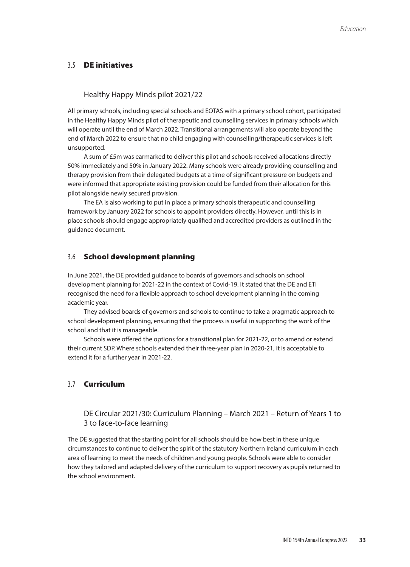### 3.5 DE initiatives

#### Healthy Happy Minds pilot 2021/22

All primary schools, including special schools and EOTAS with a primary school cohort, participated in the Healthy Happy Minds pilot of therapeutic and counselling services in primary schools which will operate until the end of March 2022. Transitional arrangements will also operate beyond the end of March 2022 to ensure that no child engaging with counselling/therapeutic services is left unsupported.

A sum of £5m was earmarked to deliver this pilot and schools received allocations directly – 50% immediately and 50% in January 2022. Many schools were already providing counselling and therapy provision from their delegated budgets at a time of significant pressure on budgets and were informed that appropriate existing provision could be funded from their allocation for this pilot alongside newly secured provision.

The EA is also working to put in place a primary schools therapeutic and counselling framework by January 2022 for schools to appoint providers directly. However, until this is in place schools should engage appropriately qualified and accredited providers as outlined in the guidance document.

#### 3.6 School development planning

In June 2021, the DE provided guidance to boards of governors and schools on school development planning for 2021-22 in the context of Covid-19. It stated that the DE and ETI recognised the need for a flexible approach to school development planning in the coming academic year.

They advised boards of governors and schools to continue to take a pragmatic approach to school development planning, ensuring that the process is useful in supporting the work of the school and that it is manageable.

Schools were offered the options for a transitional plan for 2021-22, or to amend or extend their current SDP. Where schools extended their three-year plan in 2020-21, it is acceptable to extend it for a further year in 2021-22.

### 3.7 Curriculum

DE Circular 2021/30: Curriculum Planning – March 2021 – Return of Years 1 to 3 to face-to-face learning

The DE suggested that the starting point for all schools should be how best in these unique circumstances to continue to deliver the spirit of the statutory Northern Ireland curriculum in each area of learning to meet the needs of children and young people. Schools were able to consider how they tailored and adapted delivery of the curriculum to support recovery as pupils returned to the school environment.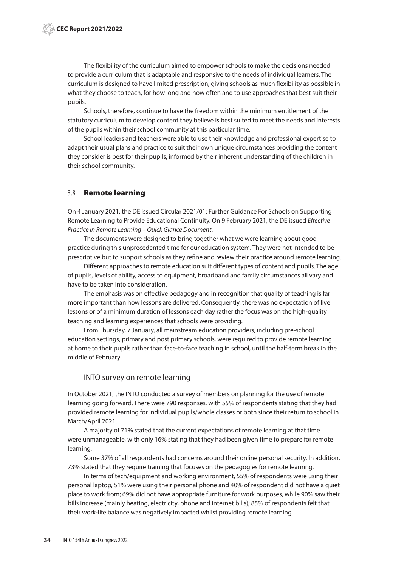The flexibility of the curriculum aimed to empower schools to make the decisions needed to provide a curriculum that is adaptable and responsive to the needs of individual learners. The curriculum is designed to have limited prescription, giving schools as much flexibility as possible in what they choose to teach, for how long and how often and to use approaches that best suit their pupils.

Schools, therefore, continue to have the freedom within the minimum entitlement of the statutory curriculum to develop content they believe is best suited to meet the needs and interests of the pupils within their school community at this particular time.

School leaders and teachers were able to use their knowledge and professional expertise to adapt their usual plans and practice to suit their own unique circumstances providing the content they consider is best for their pupils, informed by their inherent understanding of the children in their school community.

# 3.8 Remote learning

On 4 January 2021, the DE issued Circular 2021/01: Further Guidance For Schools on Supporting Remote Learning to Provide Educational Continuity. On 9 February 2021, the DE issued *Effective Practice in Remote Learning – Quick Glance Document*.

The documents were designed to bring together what we were learning about good practice during this unprecedented time for our education system. They were not intended to be prescriptive but to support schools as they refine and review their practice around remote learning.

Different approaches to remote education suit different types of content and pupils. The age of pupils, levels of ability, access to equipment, broadband and family circumstances all vary and have to be taken into consideration.

The emphasis was on effective pedagogy and in recognition that quality of teaching is far more important than how lessons are delivered. Consequently, there was no expectation of live lessons or of a minimum duration of lessons each day rather the focus was on the high-quality teaching and learning experiences that schools were providing.

From Thursday, 7 January, all mainstream education providers, including pre-school education settings, primary and post primary schools, were required to provide remote learning at home to their pupils rather than face-to-face teaching in school, until the half-term break in the middle of February.

#### INTO survey on remote learning

In October 2021, the INTO conducted a survey of members on planning for the use of remote learning going forward. There were 790 responses, with 55% of respondents stating that they had provided remote learning for individual pupils/whole classes or both since their return to school in March/April 2021.

A majority of 71% stated that the current expectations of remote learning at that time were unmanageable, with only 16% stating that they had been given time to prepare for remote learning.

Some 37% of all respondents had concerns around their online personal security. In addition, 73% stated that they require training that focuses on the pedagogies for remote learning.

In terms of tech/equipment and working environment, 55% of respondents were using their personal laptop, 51% were using their personal phone and 40% of respondent did not have a quiet place to work from; 69% did not have appropriate furniture for work purposes, while 90% saw their bills increase (mainly heating, electricity, phone and internet bills); 85% of respondents felt that their work-life balance was negatively impacted whilst providing remote learning.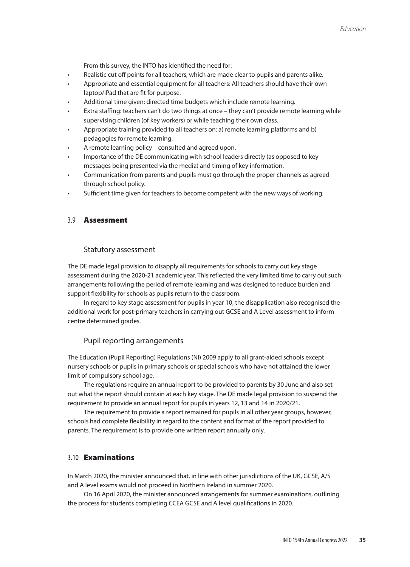From this survey, the INTO has identified the need for:

- Realistic cut off points for all teachers, which are made clear to pupils and parents alike.
- Appropriate and essential equipment for all teachers: All teachers should have their own laptop/iPad that are fit for purpose.
- Additional time given: directed time budgets which include remote learning.
- Extra staffing: teachers can't do two things at once they can't provide remote learning while supervising children (of key workers) or while teaching their own class.
- Appropriate training provided to all teachers on: a) remote learning platforms and b) pedagogies for remote learning.
- A remote learning policy consulted and agreed upon.
- Importance of the DE communicating with school leaders directly (as opposed to key messages being presented via the media) and timing of key information.
- Communication from parents and pupils must go through the proper channels as agreed through school policy.
- Sufficient time given for teachers to become competent with the new ways of working.

#### 3.9 Assessment

#### Statutory assessment

The DE made legal provision to disapply all requirements for schools to carry out key stage assessment during the 2020-21 academic year. This reflected the very limited time to carry out such arrangements following the period of remote learning and was designed to reduce burden and support flexibility for schools as pupils return to the classroom.

In regard to key stage assessment for pupils in year 10, the disapplication also recognised the additional work for post-primary teachers in carrying out GCSE and A Level assessment to inform centre determined grades.

#### Pupil reporting arrangements

The Education (Pupil Reporting) Regulations (NI) 2009 apply to all grant-aided schools except nursery schools or pupils in primary schools or special schools who have not attained the lower limit of compulsory school age.

The regulations require an annual report to be provided to parents by 30 June and also set out what the report should contain at each key stage. The DE made legal provision to suspend the requirement to provide an annual report for pupils in years 12, 13 and 14 in 2020/21.

The requirement to provide a report remained for pupils in all other year groups, however, schools had complete flexibility in regard to the content and format of the report provided to parents. The requirement is to provide one written report annually only.

# 3.10 Examinations

In March 2020, the minister announced that, in line with other jurisdictions of the UK, GCSE, A/S and A level exams would not proceed in Northern Ireland in summer 2020.

On 16 April 2020, the minister announced arrangements for summer examinations, outlining the process for students completing CCEA GCSE and A level qualifications in 2020.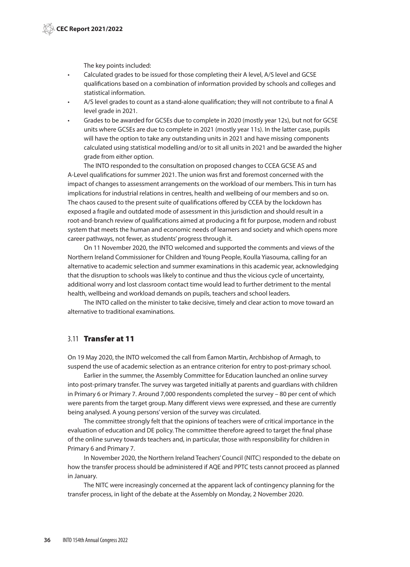The key points included:

- Calculated grades to be issued for those completing their A level, A/S level and GCSE qualifications based on a combination of information provided by schools and colleges and statistical information.
- A/S level grades to count as a stand-alone qualification; they will not contribute to a final A level grade in 2021.
- Grades to be awarded for GCSEs due to complete in 2020 (mostly year 12s), but not for GCSE units where GCSEs are due to complete in 2021 (mostly year 11s). In the latter case, pupils will have the option to take any outstanding units in 2021 and have missing components calculated using statistical modelling and/or to sit all units in 2021 and be awarded the higher grade from either option.

The INTO responded to the consultation on proposed changes to CCEA GCSE AS and A-Level qualifications for summer 2021. The union was first and foremost concerned with the impact of changes to assessment arrangements on the workload of our members. This in turn has implications for industrial relations in centres, health and wellbeing of our members and so on. The chaos caused to the present suite of qualifications offered by CCEA by the lockdown has exposed a fragile and outdated mode of assessment in this jurisdiction and should result in a root-and-branch review of qualifications aimed at producing a fit for purpose, modern and robust system that meets the human and economic needs of learners and society and which opens more career pathways, not fewer, as students' progress through it.

On 11 November 2020, the INTO welcomed and supported the comments and views of the Northern Ireland Commissioner for Children and Young People, Koulla Yiasouma, calling for an alternative to academic selection and summer examinations in this academic year, acknowledging that the disruption to schools was likely to continue and thus the vicious cycle of uncertainty, additional worry and lost classroom contact time would lead to further detriment to the mental health, wellbeing and workload demands on pupils, teachers and school leaders.

The INTO called on the minister to take decisive, timely and clear action to move toward an alternative to traditional examinations.

# 3.11 Transfer at 11

On 19 May 2020, the INTO welcomed the call from Éamon Martin, Archbishop of Armagh, to suspend the use of academic selection as an entrance criterion for entry to post-primary school.

Earlier in the summer, the Assembly Committee for Education launched an online survey into post-primary transfer. The survey was targeted initially at parents and guardians with children in Primary 6 or Primary 7. Around 7,000 respondents completed the survey – 80 per cent of which were parents from the target group. Many different views were expressed, and these are currently being analysed. A young persons' version of the survey was circulated.

The committee strongly felt that the opinions of teachers were of critical importance in the evaluation of education and DE policy. The committee therefore agreed to target the final phase of the online survey towards teachers and, in particular, those with responsibility for children in Primary 6 and Primary 7.

In November 2020, the Northern Ireland Teachers' Council (NITC) responded to the debate on how the transfer process should be administered if AQE and PPTC tests cannot proceed as planned in January.

The NITC were increasingly concerned at the apparent lack of contingency planning for the transfer process, in light of the debate at the Assembly on Monday, 2 November 2020.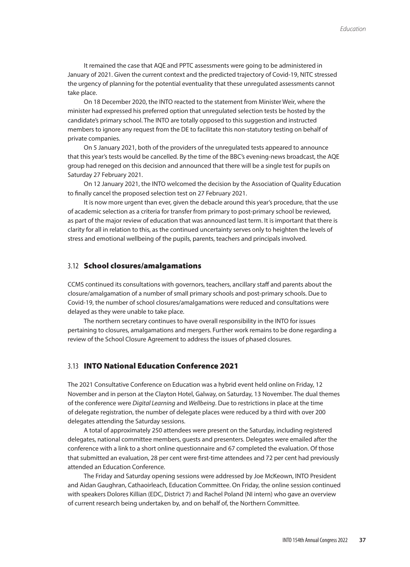It remained the case that AQE and PPTC assessments were going to be administered in January of 2021. Given the current context and the predicted trajectory of Covid-19, NITC stressed the urgency of planning for the potential eventuality that these unregulated assessments cannot take place.

On 18 December 2020, the INTO reacted to the statement from Minister Weir, where the minister had expressed his preferred option that unregulated selection tests be hosted by the candidate's primary school. The INTO are totally opposed to this suggestion and instructed members to ignore any request from the DE to facilitate this non-statutory testing on behalf of private companies.

On 5 January 2021, both of the providers of the unregulated tests appeared to announce that this year's tests would be cancelled. By the time of the BBC's evening-news broadcast, the AQE group had reneged on this decision and announced that there will be a single test for pupils on Saturday 27 February 2021.

On 12 January 2021, the INTO welcomed the decision by the Association of Quality Education to finally cancel the proposed selection test on 27 February 2021.

It is now more urgent than ever, given the debacle around this year's procedure, that the use of academic selection as a criteria for transfer from primary to post-primary school be reviewed, as part of the major review of education that was announced last term. It is important that there is clarity for all in relation to this, as the continued uncertainty serves only to heighten the levels of stress and emotional wellbeing of the pupils, parents, teachers and principals involved.

#### 3.12 School closures/amalgamations

CCMS continued its consultations with governors, teachers, ancillary staff and parents about the closure/amalgamation of a number of small primary schools and post-primary schools. Due to Covid-19, the number of school closures/amalgamations were reduced and consultations were delayed as they were unable to take place.

The northern secretary continues to have overall responsibility in the INTO for issues pertaining to closures, amalgamations and mergers. Further work remains to be done regarding a review of the School Closure Agreement to address the issues of phased closures.

# 3.13 INTO National Education Conference 2021

The 2021 Consultative Conference on Education was a hybrid event held online on Friday, 12 November and in person at the Clayton Hotel, Galway, on Saturday, 13 November. The dual themes of the conference were *Digital Learning* and *Wellbeing*. Due to restrictions in place at the time of delegate registration, the number of delegate places were reduced by a third with over 200 delegates attending the Saturday sessions.

A total of approximately 250 attendees were present on the Saturday, including registered delegates, national committee members, guests and presenters. Delegates were emailed after the conference with a link to a short online questionnaire and 67 completed the evaluation. Of those that submitted an evaluation, 28 per cent were first-time attendees and 72 per cent had previously attended an Education Conference.

The Friday and Saturday opening sessions were addressed by Joe McKeown, INTO President and Aidan Gaughran, Cathaoirleach, Education Committee. On Friday, the online session continued with speakers Dolores Killian (EDC, District 7) and Rachel Poland (NI intern) who gave an overview of current research being undertaken by, and on behalf of, the Northern Committee.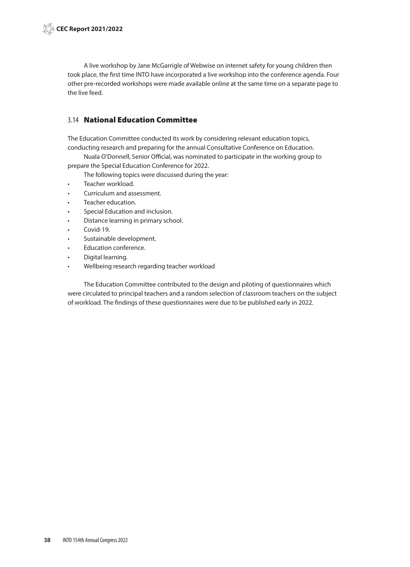A live workshop by Jane McGarrigle of Webwise on internet safety for young children then took place, the first time INTO have incorporated a live workshop into the conference agenda. Four other pre-recorded workshops were made available online at the same time on a separate page to the live feed.

# 3.14 National Education Committee

The Education Committee conducted its work by considering relevant education topics, conducting research and preparing for the annual Consultative Conference on Education.

Nuala O'Donnell, Senior Official, was nominated to participate in the working group to prepare the Special Education Conference for 2022.

- The following topics were discussed during the year:
- Teacher workload.
- Curriculum and assessment.
- Teacher education.
- Special Education and inclusion.
- Distance learning in primary school.
- Covid-19.
- Sustainable development.
- Education conference.
- Digital learning.
- Wellbeing research regarding teacher workload

The Education Committee contributed to the design and piloting of questionnaires which were circulated to principal teachers and a random selection of classroom teachers on the subject of workload. The findings of these questionnaires were due to be published early in 2022.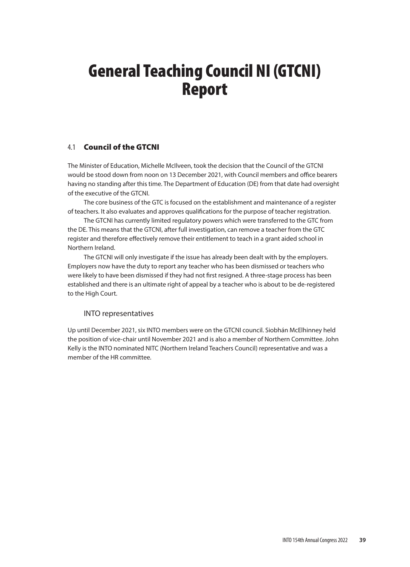# General Teaching Council NI (GTCNI) Report

# 4.1 Council of the GTCNI

The Minister of Education, Michelle McIlveen, took the decision that the Council of the GTCNI would be stood down from noon on 13 December 2021, with Council members and office bearers having no standing after this time. The Department of Education (DE) from that date had oversight of the executive of the GTCNI.

The core business of the GTC is focused on the establishment and maintenance of a register of teachers. It also evaluates and approves qualifications for the purpose of teacher registration.

The GTCNI has currently limited regulatory powers which were transferred to the GTC from the DE. This means that the GTCNI, after full investigation, can remove a teacher from the GTC register and therefore effectively remove their entitlement to teach in a grant aided school in Northern Ireland.

The GTCNI will only investigate if the issue has already been dealt with by the employers. Employers now have the duty to report any teacher who has been dismissed or teachers who were likely to have been dismissed if they had not first resigned. A three-stage process has been established and there is an ultimate right of appeal by a teacher who is about to be de-registered to the High Court.

#### INTO representatives

Up until December 2021, six INTO members were on the GTCNI council. Siobhán McElhinney held the position of vice-chair until November 2021 and is also a member of Northern Committee. John Kelly is the INTO nominated NITC (Northern Ireland Teachers Council) representative and was a member of the HR committee.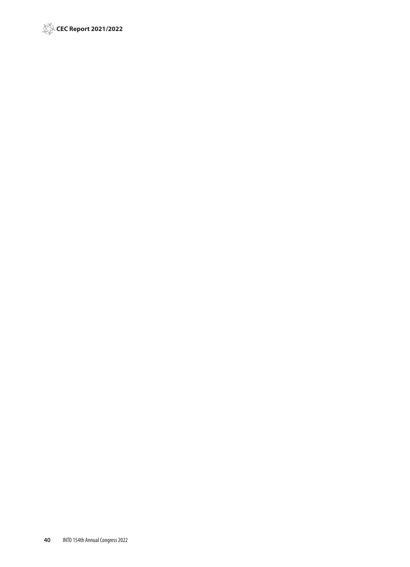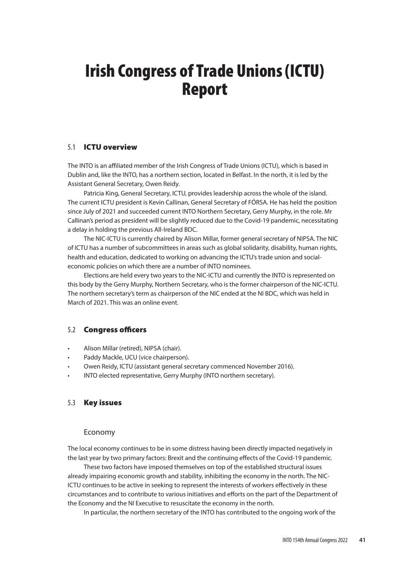# Irish Congress of Trade Unions (ICTU) Report

# 5.1 ICTU overview

The INTO is an affiliated member of the Irish Congress of Trade Unions (ICTU), which is based in Dublin and, like the INTO, has a northern section, located in Belfast. In the north, it is led by the Assistant General Secretary, Owen Reidy.

Patricia King, General Secretary, ICTU, provides leadership across the whole of the island. The current ICTU president is Kevin Callinan, General Secretary of FÓRSA. He has held the position since July of 2021 and succeeded current INTO Northern Secretary, Gerry Murphy, in the role. Mr Callinan's period as president will be slightly reduced due to the Covid-19 pandemic, necessitating a delay in holding the previous All-Ireland BDC.

The NIC-ICTU is currently chaired by Alison Millar, former general secretary of NIPSA. The NIC of ICTU has a number of subcommittees in areas such as global solidarity, disability, human rights, health and education, dedicated to working on advancing the ICTU's trade union and socialeconomic policies on which there are a number of INTO nominees.

Elections are held every two years to the NIC-ICTU and currently the INTO is represented on this body by the Gerry Murphy, Northern Secretary, who is the former chairperson of the NIC-ICTU. The northern secretary's term as chairperson of the NIC ended at the NI BDC, which was held in March of 2021. This was an online event.

# 5.2 Congress officers

- Alison Millar (retired), NIPSA (chair).
- Paddy Mackle, UCU (vice chairperson).
- Owen Reidy, ICTU (assistant general secretary commenced November 2016).
- INTO elected representative, Gerry Murphy (INTO northern secretary).

# 5.3 Key issues

#### Economy

The local economy continues to be in some distress having been directly impacted negatively in the last year by two primary factors: Brexit and the continuing effects of the Covid-19 pandemic.

These two factors have imposed themselves on top of the established structural issues already impairing economic growth and stability, inhibiting the economy in the north. The NIC-ICTU continues to be active in seeking to represent the interests of workers effectively in these circumstances and to contribute to various initiatives and efforts on the part of the Department of the Economy and the NI Executive to resuscitate the economy in the north.

In particular, the northern secretary of the INTO has contributed to the ongoing work of the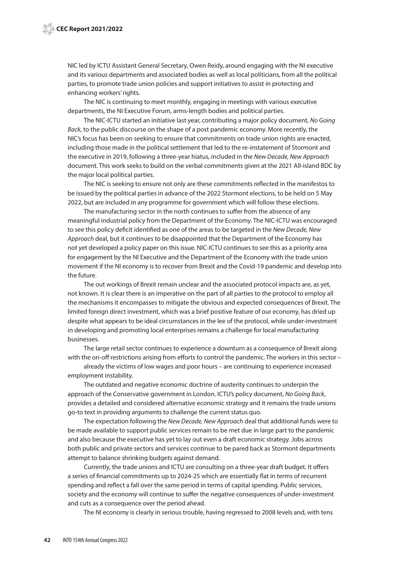NIC led by ICTU Assistant General Secretary, Owen Reidy, around engaging with the NI executive and its various departments and associated bodies as well as local politicians, from all the political parties, to promote trade union policies and support initiatives to assist in protecting and enhancing workers' rights.

The NIC is continuing to meet monthly, engaging in meetings with various executive departments, the NI Executive Forum, arms-length bodies and political parties.

The NIC-ICTU started an initiative last year, contributing a major policy document, *No Going Back*, to the public discourse on the shape of a post pandemic economy. More recently, the NIC's focus has been on seeking to ensure that commitments on trade union rights are enacted, including those made in the political settlement that led to the re-instatement of Stormont and the executive in 2019, following a three-year hiatus, included in the *New Decade, New Approach* document. This work seeks to build on the verbal commitments given at the 2021 All-island BDC by the major local political parties.

The NIC is seeking to ensure not only are these commitments reflected in the manifestos to be issued by the political parties in advance of the 2022 Stormont elections, to be held on 5 May 2022, but are included in any programme for government which will follow these elections.

The manufacturing sector in the north continues to suffer from the absence of any meaningful industrial policy from the Department of the Economy. The NIC-ICTU was encouraged to see this policy deficit identified as one of the areas to be targeted in the *New Decade, New Approach* deal, but it continues to be disappointed that the Department of the Economy has not yet developed a policy paper on this issue. NIC-ICTU continues to see this as a priority area for engagement by the NI Executive and the Department of the Economy with the trade union movement if the NI economy is to recover from Brexit and the Covid-19 pandemic and develop into the future.

The out workings of Brexit remain unclear and the associated protocol impacts are, as yet, not known. It is clear there is an imperative on the part of all parties to the protocol to employ all the mechanisms it encompasses to mitigate the obvious and expected consequences of Brexit. The limited foreign direct investment, which was a brief positive feature of our economy, has dried up despite what appears to be ideal circumstances in the lee of the protocol, while under-investment in developing and promoting local enterprises remains a challenge for local manufacturing businesses.

The large retail sector continues to experience a downturn as a consequence of Brexit along with the on-off restrictions arising from efforts to control the pandemic. The workers in this sector –

already the victims of low wages and poor hours – are continuing to experience increased employment instability.

The outdated and negative economic doctrine of austerity continues to underpin the approach of the Conservative government in London. ICTU's policy document, *No Going Back*, provides a detailed and considered alternative economic strategy and it remains the trade unions go-to text in providing arguments to challenge the current status quo.

The expectation following the *New Decade, New Approach* deal that additional funds were to be made available to support public services remain to be met due in large part to the pandemic and also because the executive has yet to lay out even a draft economic strategy. Jobs across both public and private sectors and services continue to be pared back as Stormont departments attempt to balance shrinking budgets against demand.

Currently, the trade unions and ICTU are consulting on a three-year draft budget. It offers a series of financial commitments up to 2024-25 which are essentially flat in terms of recurrent spending and reflect a fall over the same period in terms of capital spending. Public services, society and the economy will continue to suffer the negative consequences of under-investment and cuts as a consequence over the period ahead.

The NI economy is clearly in serious trouble, having regressed to 2008 levels and, with tens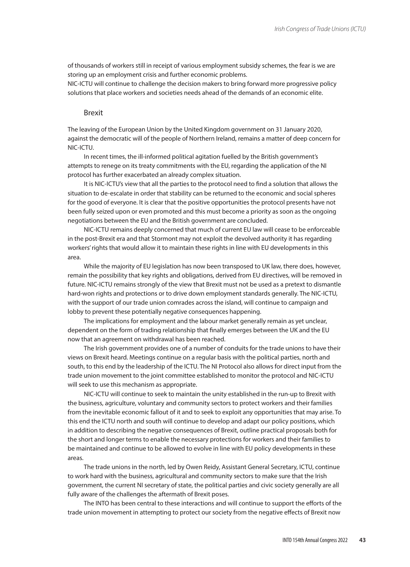of thousands of workers still in receipt of various employment subsidy schemes, the fear is we are storing up an employment crisis and further economic problems.

NIC-ICTU will continue to challenge the decision makers to bring forward more progressive policy solutions that place workers and societies needs ahead of the demands of an economic elite.

#### Brexit

The leaving of the European Union by the United Kingdom government on 31 January 2020, against the democratic will of the people of Northern Ireland, remains a matter of deep concern for NIC-ICTU.

In recent times, the ill-informed political agitation fuelled by the British government's attempts to renege on its treaty commitments with the EU, regarding the application of the NI protocol has further exacerbated an already complex situation.

It is NIC-ICTU's view that all the parties to the protocol need to find a solution that allows the situation to de-escalate in order that stability can be returned to the economic and social spheres for the good of everyone. It is clear that the positive opportunities the protocol presents have not been fully seized upon or even promoted and this must become a priority as soon as the ongoing negotiations between the EU and the British government are concluded.

NIC-ICTU remains deeply concerned that much of current EU law will cease to be enforceable in the post-Brexit era and that Stormont may not exploit the devolved authority it has regarding workers' rights that would allow it to maintain these rights in line with EU developments in this area.

While the majority of EU legislation has now been transposed to UK law, there does, however, remain the possibility that key rights and obligations, derived from EU directives, will be removed in future. NIC-ICTU remains strongly of the view that Brexit must not be used as a pretext to dismantle hard-won rights and protections or to drive down employment standards generally. The NIC-ICTU, with the support of our trade union comrades across the island, will continue to campaign and lobby to prevent these potentially negative consequences happening.

The implications for employment and the labour market generally remain as yet unclear, dependent on the form of trading relationship that finally emerges between the UK and the EU now that an agreement on withdrawal has been reached.

The Irish government provides one of a number of conduits for the trade unions to have their views on Brexit heard. Meetings continue on a regular basis with the political parties, north and south, to this end by the leadership of the ICTU. The NI Protocol also allows for direct input from the trade union movement to the joint committee established to monitor the protocol and NIC-ICTU will seek to use this mechanism as appropriate.

NIC-ICTU will continue to seek to maintain the unity established in the run-up to Brexit with the business, agriculture, voluntary and community sectors to protect workers and their families from the inevitable economic fallout of it and to seek to exploit any opportunities that may arise. To this end the ICTU north and south will continue to develop and adapt our policy positions, which in addition to describing the negative consequences of Brexit, outline practical proposals both for the short and longer terms to enable the necessary protections for workers and their families to be maintained and continue to be allowed to evolve in line with EU policy developments in these areas.

The trade unions in the north, led by Owen Reidy, Assistant General Secretary, ICTU, continue to work hard with the business, agricultural and community sectors to make sure that the Irish government, the current NI secretary of state, the political parties and civic society generally are all fully aware of the challenges the aftermath of Brexit poses.

The INTO has been central to these interactions and will continue to support the efforts of the trade union movement in attempting to protect our society from the negative effects of Brexit now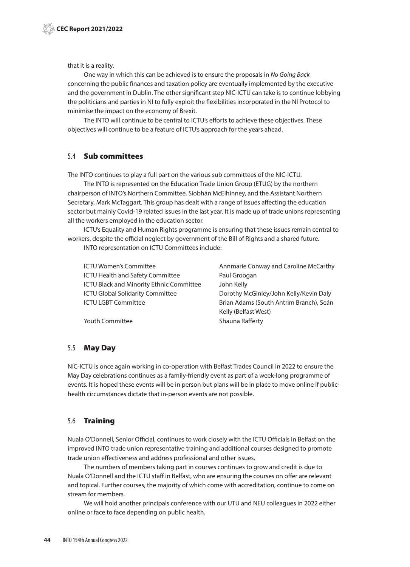that it is a reality.

One way in which this can be achieved is to ensure the proposals in *No Going Back* concerning the public finances and taxation policy are eventually implemented by the executive and the government in Dublin. The other significant step NIC-ICTU can take is to continue lobbying the politicians and parties in NI to fully exploit the flexibilities incorporated in the NI Protocol to minimise the impact on the economy of Brexit.

The INTO will continue to be central to ICTU's efforts to achieve these objectives. These objectives will continue to be a feature of ICTU's approach for the years ahead.

# 5.4 Sub committees

The INTO continues to play a full part on the various sub committees of the NIC-ICTU.

The INTO is represented on the Education Trade Union Group (ETUG) by the northern chairperson of INTO's Northern Committee, Siobhán McEIhinney, and the Assistant Northern Secretary, Mark McTaggart. This group has dealt with a range of issues affecting the education sector but mainly Covid-19 related issues in the last year. It is made up of trade unions representing all the workers employed in the education sector.

ICTU's Equality and Human Rights programme is ensuring that these issues remain central to workers, despite the official neglect by government of the Bill of Rights and a shared future.

INTO representation on ICTU Committees include:

| <b>ICTU Women's Committee</b>            | Annmarie Conway and Caroline McCarthy   |
|------------------------------------------|-----------------------------------------|
| <b>ICTU Health and Safety Committee</b>  | Paul Groogan                            |
| ICTU Black and Minority Ethnic Committee | John Kelly                              |
| <b>ICTU Global Solidarity Committee</b>  | Dorothy McGinley/John Kelly/Kevin Daly  |
| <b>ICTU LGBT Committee</b>               | Brian Adams (South Antrim Branch), Seán |
|                                          | Kelly (Belfast West)                    |
| <b>Youth Committee</b>                   | Shauna Rafferty                         |

#### 5.5 May Day

NIC-ICTU is once again working in co-operation with Belfast Trades Council in 2022 to ensure the May Day celebrations continues as a family-friendly event as part of a week-long programme of events. It is hoped these events will be in person but plans will be in place to move online if publichealth circumstances dictate that in-person events are not possible.

#### 5.6 Training

Nuala O'Donnell, Senior Official, continues to work closely with the ICTU Officials in Belfast on the improved INTO trade union representative training and additional courses designed to promote trade union effectiveness and address professional and other issues.

The numbers of members taking part in courses continues to grow and credit is due to Nuala O'Donnell and the ICTU staff in Belfast, who are ensuring the courses on offer are relevant and topical. Further courses, the majority of which come with accreditation, continue to come on stream for members.

We will hold another principals conference with our UTU and NEU colleagues in 2022 either online or face to face depending on public health.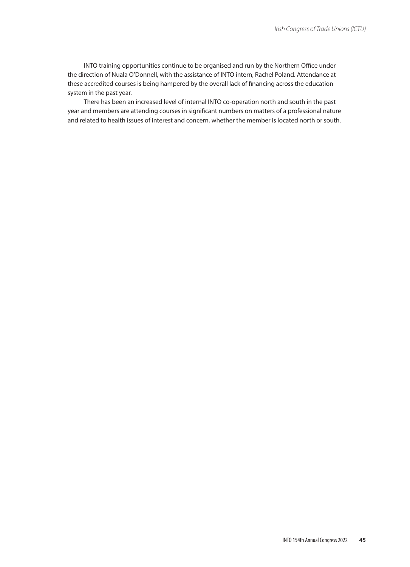INTO training opportunities continue to be organised and run by the Northern Office under the direction of Nuala O'Donnell, with the assistance of INTO intern, Rachel Poland. Attendance at these accredited courses is being hampered by the overall lack of financing across the education system in the past year.

There has been an increased level of internal INTO co-operation north and south in the past year and members are attending courses in significant numbers on matters of a professional nature and related to health issues of interest and concern, whether the member is located north or south.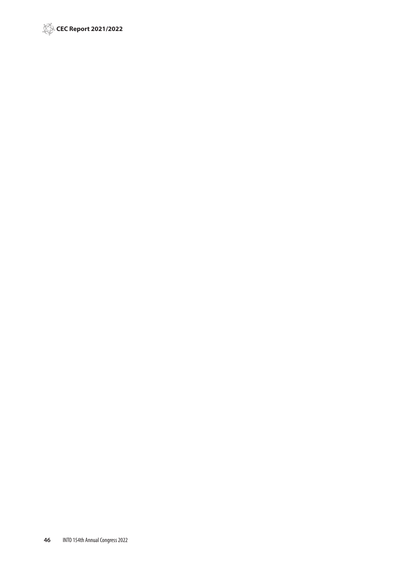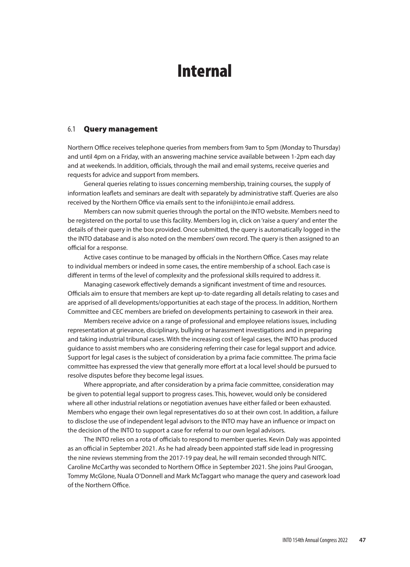# Internal

#### 6.1 Query management

Northern Office receives telephone queries from members from 9am to 5pm (Monday to Thursday) and until 4pm on a Friday, with an answering machine service available between 1-2pm each day and at weekends. In addition, officials, through the mail and email systems, receive queries and requests for advice and support from members.

General queries relating to issues concerning membership, training courses, the supply of information leaflets and seminars are dealt with separately by administrative staff. Queries are also received by the Northern Office via emails sent to the infoni@into.ie email address.

Members can now submit queries through the portal on the INTO website. Members need to be registered on the portal to use this facility. Members log in, click on 'raise a query' and enter the details of their query in the box provided. Once submitted, the query is automatically logged in the the INTO database and is also noted on the members' own record. The query is then assigned to an official for a response.

Active cases continue to be managed by officials in the Northern Office. Cases may relate to individual members or indeed in some cases, the entire membership of a school. Each case is different in terms of the level of complexity and the professional skills required to address it.

Managing casework effectively demands a significant investment of time and resources. Officials aim to ensure that members are kept up-to-date regarding all details relating to cases and are apprised of all developments/opportunities at each stage of the process. In addition, Northern Committee and CEC members are briefed on developments pertaining to casework in their area.

Members receive advice on a range of professional and employee relations issues, including representation at grievance, disciplinary, bullying or harassment investigations and in preparing and taking industrial tribunal cases. With the increasing cost of legal cases, the INTO has produced guidance to assist members who are considering referring their case for legal support and advice. Support for legal cases is the subject of consideration by a prima facie committee. The prima facie committee has expressed the view that generally more effort at a local level should be pursued to resolve disputes before they become legal issues.

Where appropriate, and after consideration by a prima facie committee, consideration may be given to potential legal support to progress cases. This, however, would only be considered where all other industrial relations or negotiation avenues have either failed or been exhausted. Members who engage their own legal representatives do so at their own cost. In addition, a failure to disclose the use of independent legal advisors to the INTO may have an influence or impact on the decision of the INTO to support a case for referral to our own legal advisors.

The INTO relies on a rota of officials to respond to member queries. Kevin Daly was appointed as an official in September 2021. As he had already been appointed staff side lead in progressing the nine reviews stemming from the 2017-19 pay deal, he will remain seconded through NITC. Caroline McCarthy was seconded to Northern Office in September 2021. She joins Paul Groogan, Tommy McGlone, Nuala O'Donnell and Mark McTaggart who manage the query and casework load of the Northern Office.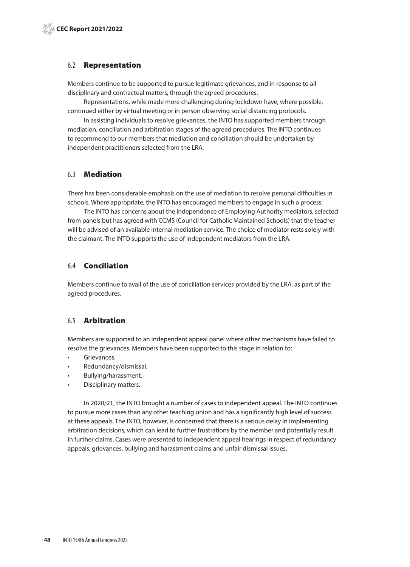# 6.2 Representation

Members continue to be supported to pursue legitimate grievances, and in response to all disciplinary and contractual matters, through the agreed procedures.

Representations, while made more challenging during lockdown have, where possible, continued either by virtual meeting or in person observing social distancing protocols.

In assisting individuals to resolve grievances, the INTO has supported members through mediation, conciliation and arbitration stages of the agreed procedures. The INTO continues to recommend to our members that mediation and conciliation should be undertaken by independent practitioners selected from the LRA.

#### 6.3 Mediation

There has been considerable emphasis on the use of mediation to resolve personal difficulties in schools. Where appropriate, the INTO has encouraged members to engage in such a process.

The INTO has concerns about the independence of Employing Authority mediators, selected from panels but has agreed with CCMS (Council for Catholic Maintained Schools) that the teacher will be advised of an available internal mediation service. The choice of mediator rests solely with the claimant. The INTO supports the use of independent mediators from the LRA.

# 6.4 Conciliation

Members continue to avail of the use of conciliation services provided by the LRA, as part of the agreed procedures.

# 6.5 Arbitration

Members are supported to an independent appeal panel where other mechanisms have failed to resolve the grievances. Members have been supported to this stage in relation to:

- Grievances.
- Redundancy/dismissal.
- Bullying/harassment.
- Disciplinary matters.

In 2020/21, the INTO brought a number of cases to independent appeal. The INTO continues to pursue more cases than any other teaching union and has a significantly high level of success at these appeals. The INTO, however, is concerned that there is a serious delay in implementing arbitration decisions, which can lead to further frustrations by the member and potentially result in further claims. Cases were presented to independent appeal hearings in respect of redundancy appeals, grievances, bullying and harassment claims and unfair dismissal issues.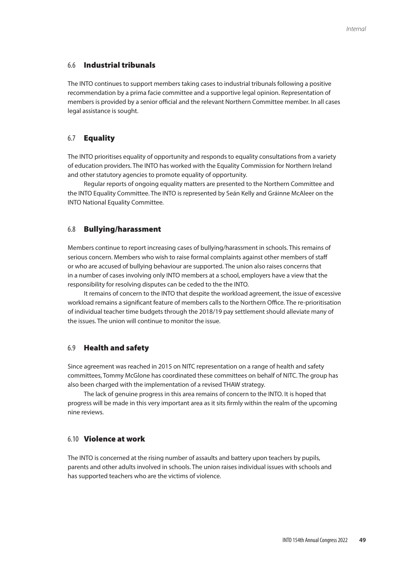#### 6.6 Industrial tribunals

The INTO continues to support members taking cases to industrial tribunals following a positive recommendation by a prima facie committee and a supportive legal opinion. Representation of members is provided by a senior official and the relevant Northern Committee member. In all cases legal assistance is sought.

#### 6.7 Equality

The INTO prioritises equality of opportunity and responds to equality consultations from a variety of education providers. The INTO has worked with the Equality Commission for Northern Ireland and other statutory agencies to promote equality of opportunity.

Regular reports of ongoing equality matters are presented to the Northern Committee and the INTO Equality Committee. The INTO is represented by Seán Kelly and Gráinne McAleer on the INTO National Equality Committee.

#### 6.8 Bullying/harassment

Members continue to report increasing cases of bullying/harassment in schools. This remains of serious concern. Members who wish to raise formal complaints against other members of staff or who are accused of bullying behaviour are supported. The union also raises concerns that in a number of cases involving only INTO members at a school, employers have a view that the responsibility for resolving disputes can be ceded to the the INTO.

It remains of concern to the INTO that despite the workload agreement, the issue of excessive workload remains a significant feature of members calls to the Northern Office. The re-prioritisation of individual teacher time budgets through the 2018/19 pay settlement should alleviate many of the issues. The union will continue to monitor the issue.

#### 6.9 Health and safety

Since agreement was reached in 2015 on NITC representation on a range of health and safety committees, Tommy McGlone has coordinated these committees on behalf of NITC. The group has also been charged with the implementation of a revised THAW strategy.

The lack of genuine progress in this area remains of concern to the INTO. It is hoped that progress will be made in this very important area as it sits firmly within the realm of the upcoming nine reviews.

#### 6.10 Violence at work

The INTO is concerned at the rising number of assaults and battery upon teachers by pupils, parents and other adults involved in schools. The union raises individual issues with schools and has supported teachers who are the victims of violence.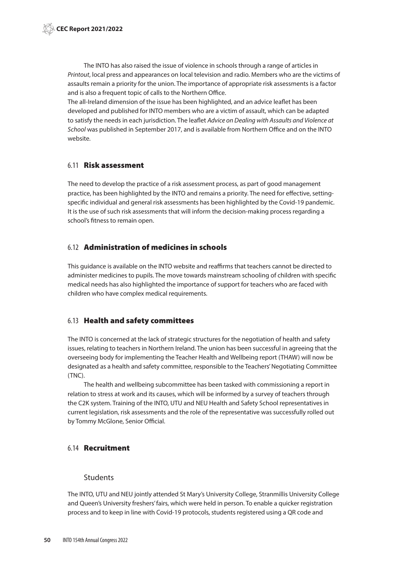The INTO has also raised the issue of violence in schools through a range of articles in *Printout*, local press and appearances on local television and radio. Members who are the victims of assaults remain a priority for the union. The importance of appropriate risk assessments is a factor and is also a frequent topic of calls to the Northern Office.

The all-Ireland dimension of the issue has been highlighted, and an advice leaflet has been developed and published for INTO members who are a victim of assault, which can be adapted to satisfy the needs in each jurisdiction. The leaflet *Advice on Dealing with Assaults and Violence at School* was published in September 2017, and is available from Northern Office and on the INTO website.

# 6.11 Risk assessment

The need to develop the practice of a risk assessment process, as part of good management practice, has been highlighted by the INTO and remains a priority. The need for effective, settingspecific individual and general risk assessments has been highlighted by the Covid-19 pandemic. It is the use of such risk assessments that will inform the decision-making process regarding a school's fitness to remain open.

# 6.12 Administration of medicines in schools

This guidance is available on the INTO website and reaffirms that teachers cannot be directed to administer medicines to pupils. The move towards mainstream schooling of children with specific medical needs has also highlighted the importance of support for teachers who are faced with children who have complex medical requirements.

# 6.13 Health and safety committees

The INTO is concerned at the lack of strategic structures for the negotiation of health and safety issues, relating to teachers in Northern Ireland. The union has been successful in agreeing that the overseeing body for implementing the Teacher Health and Wellbeing report (THAW) will now be designated as a health and safety committee, responsible to the Teachers' Negotiating Committee (TNC).

The health and wellbeing subcommittee has been tasked with commissioning a report in relation to stress at work and its causes, which will be informed by a survey of teachers through the C2K system. Training of the INTO, UTU and NEU Health and Safety School representatives in current legislation, risk assessments and the role of the representative was successfully rolled out by Tommy McGlone, Senior Official.

# 6.14 Recruitment

# Students

The INTO, UTU and NEU jointly attended St Mary's University College, Stranmillis University College and Queen's University freshers' fairs, which were held in person. To enable a quicker registration process and to keep in line with Covid-19 protocols, students registered using a QR code and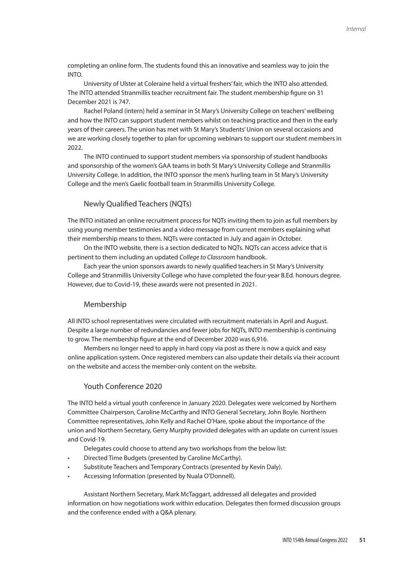completing an online form. The students found this an innovative and seamless way to join the INTO.

University of Ulster at Coleraine held a virtual freshers' fair, which the INTO also attended. The INTO attended Stranmillis teacher recruitment fair. The student membership figure on 31 December 2021 is 747.

Rachel Poland (intern) held a seminar in St Mary's University College on teachers' wellbeing and how the INTO can support student members whilst on teaching practice and then in the early years of their careers. The union has met with St Mary's Students' Union on several occasions and we are working closely together to plan for upcoming webinars to support our student members in 2022.

The INTO continued to support student members via sponsorship of student handbooks and sponsorship of the women's GAA teams in both St Mary's University College and Stranmillis University College. In addition, the INTO sponsor the men's hurling team in St Mary's University College and the men's Gaelic football team in Stranmillis University College.

#### Newly Qualified Teachers (NQTs)

The INTO initiated an online recruitment process for NQTs inviting them to join as full members by using young member testimonies and a video message from current members explaining what their membership means to them. NQTs were contacted in July and again in October.

On the INTO website, there is a section dedicated to NQTs. NQTs can access advice that is pertinent to them including an updated *College to Classroom* handbook.

Each year the union sponsors awards to newly qualified teachers in St Mary's University College and Stranmillis University College who have completed the four-year B.Ed. honours degree. However, due to Covid-19, these awards were not presented in 2021.

#### Membership

All INTO school representatives were circulated with recruitment materials in April and August. Despite a large number of redundancies and fewer jobs for NQTs, INTO membership is continuing to grow. The membership figure at the end of December 2020 was 6,916.

Members no longer need to apply in hard copy via post as there is now a quick and easy online application system. Once registered members can also update their details via their account on the website and access the member-only content on the website.

#### Youth Conference 2020

The INTO held a virtual youth conference in January 2020. Delegates were welcomed by Northern Committee Chairperson, Caroline McCarthy and INTO General Secretary, John Boyle. Northern Committee representatives, John Kelly and Rachel O'Hare, spoke about the importance of the union and Northern Secretary, Gerry Murphy provided delegates with an update on current issues and Covid-19.

Delegates could choose to attend any two workshops from the below list:

- Directed Time Budgets (presented by Caroline McCarthy).
- Substitute Teachers and Temporary Contracts (presented by Kevin Daly).
- Accessing Information (presented by Nuala O'Donnell).

Assistant Northern Secretary, Mark McTaggart, addressed all delegates and provided information on how negotiations work within education. Delegates then formed discussion groups and the conference ended with a Q&A plenary.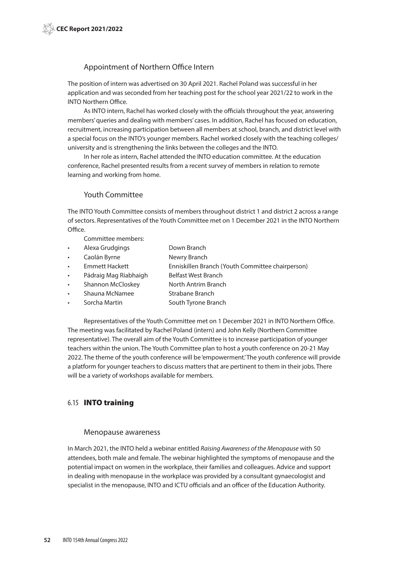# Appointment of Northern Office Intern

The position of intern was advertised on 30 April 2021. Rachel Poland was successful in her application and was seconded from her teaching post for the school year 2021/22 to work in the INTO Northern Office.

As INTO intern, Rachel has worked closely with the officials throughout the year, answering members' queries and dealing with members' cases. In addition, Rachel has focused on education, recruitment, increasing participation between all members at school, branch, and district level with a special focus on the INTO's younger members. Rachel worked closely with the teaching colleges/ university and is strengthening the links between the colleges and the INTO.

In her role as intern, Rachel attended the INTO education committee. At the education conference, Rachel presented results from a recent survey of members in relation to remote learning and working from home.

# Youth Committee

The INTO Youth Committee consists of members throughout district 1 and district 2 across a range of sectors. Representatives of the Youth Committee met on 1 December 2021 in the INTO Northern Office.

Committee members:

| $\bullet$ | Alexa Grudgings       | Down Branch                                      |
|-----------|-----------------------|--------------------------------------------------|
| $\bullet$ | Caolán Byrne          | Newry Branch                                     |
| $\bullet$ | <b>Emmett Hackett</b> | Enniskillen Branch (Youth Committee chairperson) |
| $\bullet$ | Pádraig Mag Riabhaigh | <b>Belfast West Branch</b>                       |
| $\bullet$ | Shannon McCloskey     | North Antrim Branch                              |
| $\bullet$ | Shauna McNamee        | Strabane Branch                                  |
| $\bullet$ | Sorcha Martin         | South Tyrone Branch                              |

Representatives of the Youth Committee met on 1 December 2021 in INTO Northern Office. The meeting was facilitated by Rachel Poland (intern) and John Kelly (Northern Committee representative). The overall aim of the Youth Committee is to increase participation of younger teachers within the union. The Youth Committee plan to host a youth conference on 20-21 May 2022. The theme of the youth conference will be 'empowerment.' The youth conference will provide a platform for younger teachers to discuss matters that are pertinent to them in their jobs. There will be a variety of workshops available for members.

# 6.15 INTO training

#### Menopause awareness

In March 2021, the INTO held a webinar entitled *Raising Awareness of the Menopause* with 50 attendees, both male and female. The webinar highlighted the symptoms of menopause and the potential impact on women in the workplace, their families and colleagues. Advice and support in dealing with menopause in the workplace was provided by a consultant gynaecologist and specialist in the menopause, INTO and ICTU officials and an officer of the Education Authority.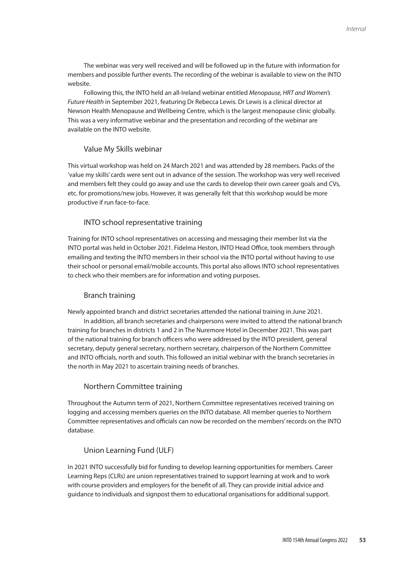The webinar was very well received and will be followed up in the future with information for members and possible further events. The recording of the webinar is available to view on the INTO website.

Following this, the INTO held an all-Ireland webinar entitled *Menopause, HRT and Women's Future Health* in September 2021, featuring Dr Rebecca Lewis. Dr Lewis is a clinical director at Newson Health Menopause and Wellbeing Centre, which is the largest menopause clinic globally. This was a very informative webinar and the presentation and recording of the webinar are available on the INTO website.

# Value My Skills webinar

This virtual workshop was held on 24 March 2021 and was attended by 28 members. Packs of the 'value my skills' cards were sent out in advance of the session. The workshop was very well received and members felt they could go away and use the cards to develop their own career goals and CVs, etc. for promotions/new jobs. However, it was generally felt that this workshop would be more productive if run face-to-face.

# INTO school representative training

Training for INTO school representatives on accessing and messaging their member list via the INTO portal was held in October 2021. Fidelma Heston, INTO Head Office, took members through emailing and texting the INTO members in their school via the INTO portal without having to use their school or personal email/mobile accounts. This portal also allows INTO school representatives to check who their members are for information and voting purposes.

#### Branch training

Newly appointed branch and district secretaries attended the national training in June 2021.

In addition, all branch secretaries and chairpersons were invited to attend the national branch training for branches in districts 1 and 2 in The Nuremore Hotel in December 2021. This was part of the national training for branch officers who were addressed by the INTO president, general secretary, deputy general secretary, northern secretary, chairperson of the Northern Committee and INTO officials, north and south. This followed an initial webinar with the branch secretaries in the north in May 2021 to ascertain training needs of branches.

#### Northern Committee training

Throughout the Autumn term of 2021, Northern Committee representatives received training on logging and accessing members queries on the INTO database. All member queries to Northern Committee representatives and officials can now be recorded on the members' records on the INTO database.

#### Union Learning Fund (ULF)

In 2021 INTO successfully bid for funding to develop learning opportunities for members. Career Learning Reps (CLRs) are union representatives trained to support learning at work and to work with course providers and employers for the benefit of all. They can provide initial advice and guidance to individuals and signpost them to educational organisations for additional support.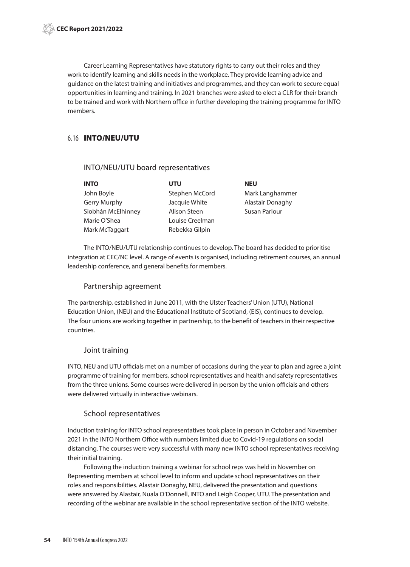Career Learning Representatives have statutory rights to carry out their roles and they work to identify learning and skills needs in the workplace. They provide learning advice and guidance on the latest training and initiatives and programmes, and they can work to secure equal opportunities in learning and training. In 2021 branches were asked to elect a CLR for their branch to be trained and work with Northern office in further developing the training programme for INTO members.

# 6.16 INTO/NEU/UTU

# INTO/NEU/UTU board representatives

**INTO UTU NEU** John Boyle Stephen McCord Mark Langhammer Gerry Murphy **Sacquie White** Alastair Donaghy Siobhán McElhinney **Alison Steen** Susan Parlour Marie O'Shea **Louise Creelman** Mark McTaggart Rebekka Gilpin

The INTO/NEU/UTU relationship continues to develop. The board has decided to prioritise integration at CEC/NC level. A range of events is organised, including retirement courses, an annual leadership conference, and general benefits for members.

# Partnership agreement

The partnership, established in June 2011, with the Ulster Teachers' Union (UTU), National Education Union, (NEU) and the Educational Institute of Scotland, (EIS), continues to develop. The four unions are working together in partnership, to the benefit of teachers in their respective countries.

#### Joint training

INTO, NEU and UTU officials met on a number of occasions during the year to plan and agree a joint programme of training for members, school representatives and health and safety representatives from the three unions. Some courses were delivered in person by the union officials and others were delivered virtually in interactive webinars.

# School representatives

Induction training for INTO school representatives took place in person in October and November 2021 in the INTO Northern Office with numbers limited due to Covid-19 regulations on social distancing. The courses were very successful with many new INTO school representatives receiving their initial training.

Following the induction training a webinar for school reps was held in November on Representing members at school level to inform and update school representatives on their roles and responsibilities. Alastair Donaghy, NEU, delivered the presentation and questions were answered by Alastair, Nuala O'Donnell, INTO and Leigh Cooper, UTU. The presentation and recording of the webinar are available in the school representative section of the INTO website.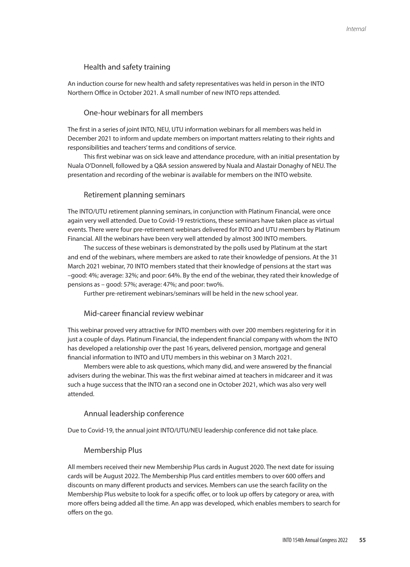# Health and safety training

An induction course for new health and safety representatives was held in person in the INTO Northern Office in October 2021. A small number of new INTO reps attended.

#### One-hour webinars for all members

The first in a series of joint INTO, NEU, UTU information webinars for all members was held in December 2021 to inform and update members on important matters relating to their rights and responsibilities and teachers' terms and conditions of service.

This first webinar was on sick leave and attendance procedure, with an initial presentation by Nuala O'Donnell, followed by a Q&A session answered by Nuala and Alastair Donaghy of NEU. The presentation and recording of the webinar is available for members on the INTO website.

#### Retirement planning seminars

The INTO/UTU retirement planning seminars, in conjunction with Platinum Financial, were once again very well attended. Due to Covid-19 restrictions, these seminars have taken place as virtual events. There were four pre-retirement webinars delivered for INTO and UTU members by Platinum Financial. All the webinars have been very well attended by almost 300 INTO members.

The success of these webinars is demonstrated by the polls used by Platinum at the start and end of the webinars, where members are asked to rate their knowledge of pensions. At the 31 March 2021 webinar, 70 INTO members stated that their knowledge of pensions at the start was –good: 4%; average: 32%; and poor: 64%. By the end of the webinar, they rated their knowledge of pensions as – good: 57%; average: 47%; and poor: two%.

Further pre-retirement webinars/seminars will be held in the new school year.

#### Mid-career financial review webinar

This webinar proved very attractive for INTO members with over 200 members registering for it in just a couple of days. Platinum Financial, the independent financial company with whom the INTO has developed a relationship over the past 16 years, delivered pension, mortgage and general financial information to INTO and UTU members in this webinar on 3 March 2021.

Members were able to ask questions, which many did, and were answered by the financial advisers during the webinar. This was the first webinar aimed at teachers in midcareer and it was such a huge success that the INTO ran a second one in October 2021, which was also very well attended.

#### Annual leadership conference

Due to Covid-19, the annual joint INTO/UTU/NEU leadership conference did not take place.

#### Membership Plus

All members received their new Membership Plus cards in August 2020. The next date for issuing cards will be August 2022. The Membership Plus card entitles members to over 600 offers and discounts on many different products and services. Members can use the search facility on the Membership Plus website to look for a specific offer, or to look up offers by category or area, with more offers being added all the time. An app was developed, which enables members to search for offers on the go.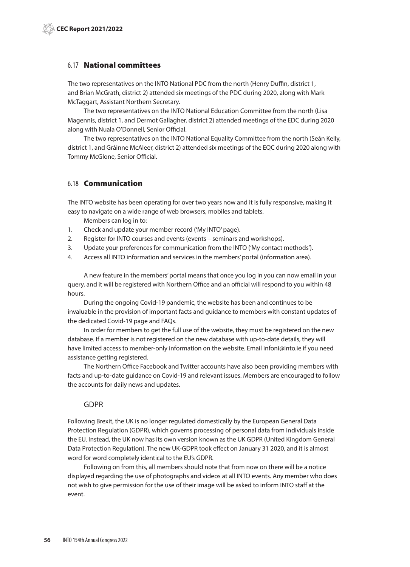### 6.17 National committees

The two representatives on the INTO National PDC from the north (Henry Duffin, district 1, and Brian McGrath, district 2) attended six meetings of the PDC during 2020, along with Mark McTaggart, Assistant Northern Secretary.

The two representatives on the INTO National Education Committee from the north (Lisa Magennis, district 1, and Dermot Gallagher, district 2) attended meetings of the EDC during 2020 along with Nuala O'Donnell, Senior Official.

The two representatives on the INTO National Equality Committee from the north (Seán Kelly, district 1, and Gráinne McAleer, district 2) attended six meetings of the EQC during 2020 along with Tommy McGlone, Senior Official.

#### 6.18 Communication

The INTO website has been operating for over two years now and it is fully responsive, making it easy to navigate on a wide range of web browsers, mobiles and tablets.

Members can log in to:

- 1. Check and update your member record ('My INTO' page).
- 2. Register for INTO courses and events (events seminars and workshops).
- 3. Update your preferences for communication from the INTO ('My contact methods').
- 4. Access all INTO information and services in the members' portal (information area).

A new feature in the members' portal means that once you log in you can now email in your query, and it will be registered with Northern Office and an official will respond to you within 48 hours.

During the ongoing Covid-19 pandemic, the website has been and continues to be invaluable in the provision of important facts and guidance to members with constant updates of the dedicated Covid-19 page and FAQs.

In order for members to get the full use of the website, they must be registered on the new database. If a member is not registered on the new database with up-to-date details, they will have limited access to member-only information on the website. Email infoni@into.ie if you need assistance getting registered.

The Northern Office Facebook and Twitter accounts have also been providing members with facts and up-to-date guidance on Covid-19 and relevant issues. Members are encouraged to follow the accounts for daily news and updates.

#### GDPR

Following Brexit, the UK is no longer regulated domestically by the European General Data Protection Regulation (GDPR), which governs processing of personal data from individuals inside the EU. Instead, the UK now has its own version known as the UK GDPR (United Kingdom General Data Protection Regulation). The new UK-GDPR took effect on January 31 2020, and it is almost word for word completely identical to the EU's GDPR.

Following on from this, all members should note that from now on there will be a notice displayed regarding the use of photographs and videos at all INTO events. Any member who does not wish to give permission for the use of their image will be asked to inform INTO staff at the event.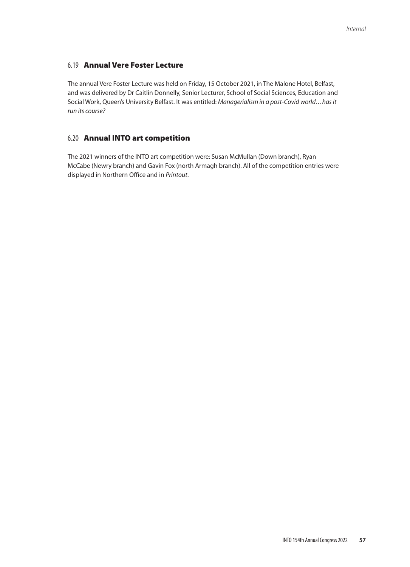# 6.19 Annual Vere Foster Lecture

The annual Vere Foster Lecture was held on Friday, 15 October 2021, in The Malone Hotel, Belfast, and was delivered by Dr Caitlin Donnelly, Senior Lecturer, School of Social Sciences, Education and Social Work, Queen's University Belfast. It was entitled: *Managerialism in a post-Covid world…has it run its course?*

# 6.20 Annual INTO art competition

The 2021 winners of the INTO art competition were: Susan McMullan (Down branch), Ryan McCabe (Newry branch) and Gavin Fox (north Armagh branch). All of the competition entries were displayed in Northern Office and in *Printout*.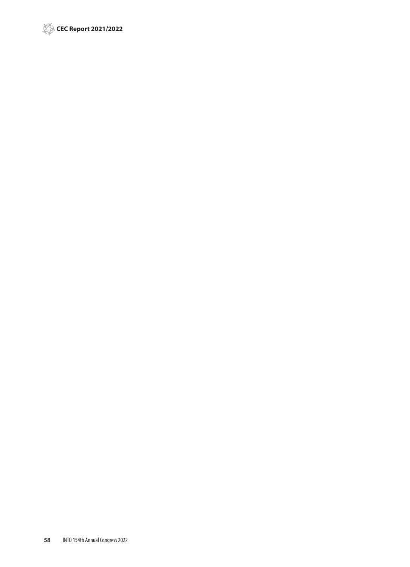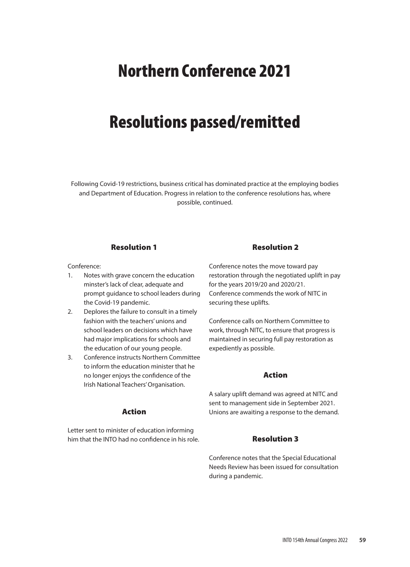# Northern Conference 2021

# Resolutions passed/remitted

Following Covid-19 restrictions, business critical has dominated practice at the employing bodies and Department of Education. Progress in relation to the conference resolutions has, where possible, continued.

# Resolution 1

Conference:

- 1. Notes with grave concern the education minster's lack of clear, adequate and prompt guidance to school leaders during the Covid-19 pandemic.
- 2. Deplores the failure to consult in a timely fashion with the teachers' unions and school leaders on decisions which have had major implications for schools and the education of our young people.
- 3. Conference instructs Northern Committee to inform the education minister that he no longer enjoys the confidence of the Irish National Teachers' Organisation.

Resolution 2

Conference notes the move toward pay restoration through the negotiated uplift in pay for the years 2019/20 and 2020/21. Conference commends the work of NITC in securing these uplifts.

Conference calls on Northern Committee to work, through NITC, to ensure that progress is maintained in securing full pay restoration as expediently as possible.

### Action

A salary uplift demand was agreed at NITC and sent to management side in September 2021. Unions are awaiting a response to the demand.

#### Resolution 3

Conference notes that the Special Educational Needs Review has been issued for consultation during a pandemic.

# Action

Letter sent to minister of education informing him that the INTO had no confidence in his role.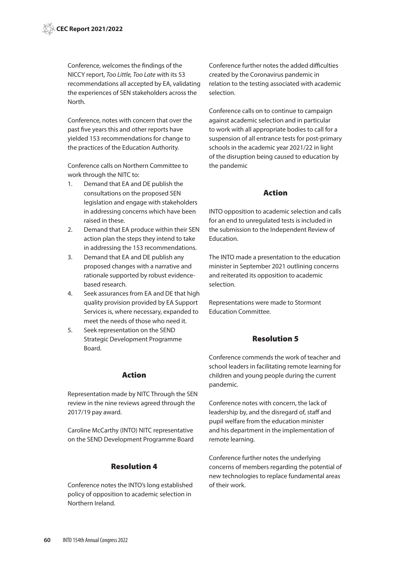Conference, welcomes the findings of the NICCY report, *Too Little, Too Late* with its 53 recommendations all accepted by EA, validating the experiences of SEN stakeholders across the North.

Conference, notes with concern that over the past five years this and other reports have yielded 153 recommendations for change to the practices of the Education Authority.

Conference calls on Northern Committee to work through the NITC to:

- 1. Demand that EA and DE publish the consultations on the proposed SEN legislation and engage with stakeholders in addressing concerns which have been raised in these.
- 2. Demand that EA produce within their SEN action plan the steps they intend to take in addressing the 153 recommendations.
- 3. Demand that EA and DE publish any proposed changes with a narrative and rationale supported by robust evidencebased research.
- 4. Seek assurances from EA and DE that high quality provision provided by EA Support Services is, where necessary, expanded to meet the needs of those who need it.
- 5. Seek representation on the SEND Strategic Development Programme Board.

# Action

Representation made by NITC Through the SEN review in the nine reviews agreed through the 2017/19 pay award.

Caroline McCarthy (INTO) NITC representative on the SEND Development Programme Board

#### Resolution 4

Conference notes the INTO's long established policy of opposition to academic selection in Northern Ireland.

Conference further notes the added difficulties created by the Coronavirus pandemic in relation to the testing associated with academic selection.

Conference calls on to continue to campaign against academic selection and in particular to work with all appropriate bodies to call for a suspension of all entrance tests for post-primary schools in the academic year 2021/22 in light of the disruption being caused to education by the pandemic

#### Action

INTO opposition to academic selection and calls for an end to unregulated tests is included in the submission to the Independent Review of Education.

The INTO made a presentation to the education minister in September 2021 outlining concerns and reiterated its opposition to academic selection.

Representations were made to Stormont Education Committee.

#### Resolution 5

Conference commends the work of teacher and school leaders in facilitating remote learning for children and young people during the current pandemic.

Conference notes with concern, the lack of leadership by, and the disregard of, staff and pupil welfare from the education minister and his department in the implementation of remote learning.

Conference further notes the underlying concerns of members regarding the potential of new technologies to replace fundamental areas of their work.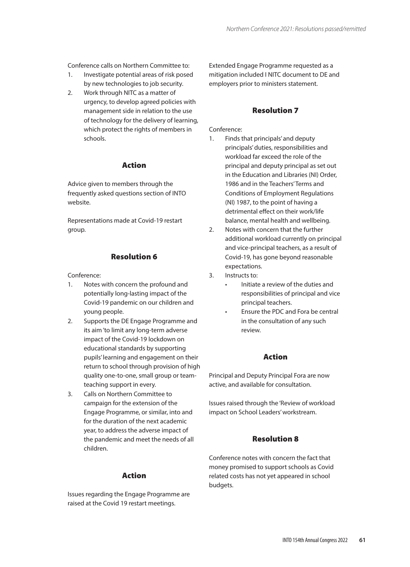Conference calls on Northern Committee to:

- 1. Investigate potential areas of risk posed by new technologies to job security.
- 2. Work through NITC as a matter of urgency, to develop agreed policies with management side in relation to the use of technology for the delivery of learning, which protect the rights of members in schools.

# Action

Advice given to members through the frequently asked questions section of INTO website.

Representations made at Covid-19 restart group.

# Resolution 6

Conference:

- 1. Notes with concern the profound and potentially long-lasting impact of the Covid-19 pandemic on our children and young people.
- 2. Supports the DE Engage Programme and its aim 'to limit any long-term adverse impact of the Covid-19 lockdown on educational standards by supporting pupils' learning and engagement on their return to school through provision of high quality one-to-one, small group or teamteaching support in every.
- 3. Calls on Northern Committee to campaign for the extension of the Engage Programme, or similar, into and for the duration of the next academic year, to address the adverse impact of the pandemic and meet the needs of all children.

# Action

Issues regarding the Engage Programme are raised at the Covid 19 restart meetings.

Extended Engage Programme requested as a mitigation included I NITC document to DE and employers prior to ministers statement.

# Resolution 7

Conference:

- 1. Finds that principals' and deputy principals' duties, responsibilities and workload far exceed the role of the principal and deputy principal as set out in the Education and Libraries (NI) Order, 1986 and in the Teachers' Terms and Conditions of Employment Regulations (NI) 1987, to the point of having a detrimental effect on their work/life balance, mental health and wellbeing.
- 2. Notes with concern that the further additional workload currently on principal and vice-principal teachers, as a result of Covid-19, has gone beyond reasonable expectations.
- 3. Instructs to:
	- Initiate a review of the duties and responsibilities of principal and vice principal teachers.
	- Ensure the PDC and Fora be central in the consultation of any such review.

# Action

Principal and Deputy Principal Fora are now active, and available for consultation.

Issues raised through the 'Review of workload impact on School Leaders' workstream.

# Resolution 8

Conference notes with concern the fact that money promised to support schools as Covid related costs has not yet appeared in school budgets.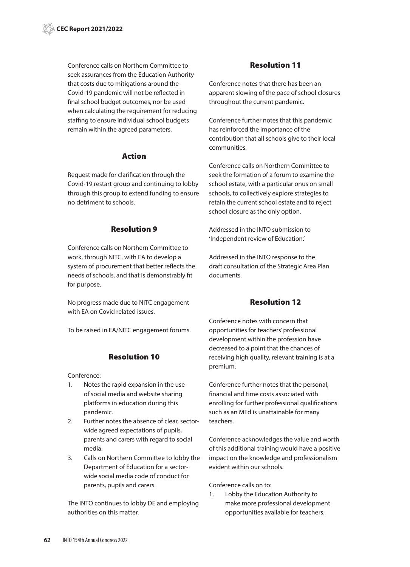Conference calls on Northern Committee to seek assurances from the Education Authority that costs due to mitigations around the Covid-19 pandemic will not be reflected in final school budget outcomes, nor be used when calculating the requirement for reducing staffing to ensure individual school budgets remain within the agreed parameters.

#### Action

Request made for clarification through the Covid-19 restart group and continuing to lobby through this group to extend funding to ensure no detriment to schools.

# Resolution 9

Conference calls on Northern Committee to work, through NITC, with EA to develop a system of procurement that better reflects the needs of schools, and that is demonstrably fit for purpose.

No progress made due to NITC engagement with EA on Covid related issues.

To be raised in EA/NITC engagement forums.

# Resolution 10

Conference:

- 1. Notes the rapid expansion in the use of social media and website sharing platforms in education during this pandemic.
- 2. Further notes the absence of clear, sectorwide agreed expectations of pupils, parents and carers with regard to social media.
- 3. Calls on Northern Committee to lobby the Department of Education for a sectorwide social media code of conduct for parents, pupils and carers.

The INTO continues to lobby DE and employing authorities on this matter.

# Resolution 11

Conference notes that there has been an apparent slowing of the pace of school closures throughout the current pandemic.

Conference further notes that this pandemic has reinforced the importance of the contribution that all schools give to their local communities.

Conference calls on Northern Committee to seek the formation of a forum to examine the school estate, with a particular onus on small schools, to collectively explore strategies to retain the current school estate and to reject school closure as the only option.

Addressed in the INTO submission to 'Independent review of Education.'

Addressed in the INTO response to the draft consultation of the Strategic Area Plan documents.

# Resolution 12

Conference notes with concern that opportunities for teachers' professional development within the profession have decreased to a point that the chances of receiving high quality, relevant training is at a premium.

Conference further notes that the personal, financial and time costs associated with enrolling for further professional qualifications such as an MEd is unattainable for many teachers.

Conference acknowledges the value and worth of this additional training would have a positive impact on the knowledge and professionalism evident within our schools.

Conference calls on to:

1. Lobby the Education Authority to make more professional development opportunities available for teachers.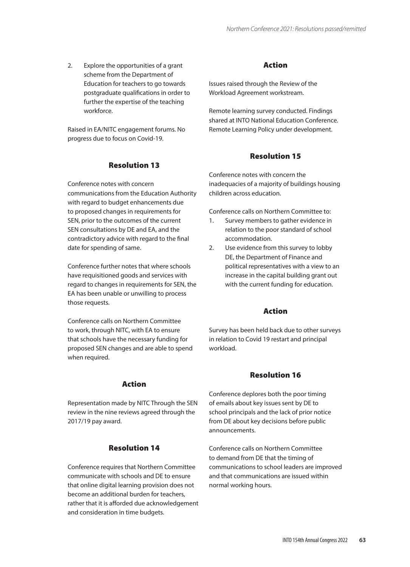2. Explore the opportunities of a grant scheme from the Department of Education for teachers to go towards postgraduate qualifications in order to further the expertise of the teaching workforce.

Raised in EA/NITC engagement forums. No progress due to focus on Covid-19.

# Resolution 13

Conference notes with concern communications from the Education Authority with regard to budget enhancements due to proposed changes in requirements for SEN, prior to the outcomes of the current SEN consultations by DE and EA, and the contradictory advice with regard to the final date for spending of same.

Conference further notes that where schools have requisitioned goods and services with regard to changes in requirements for SEN, the EA has been unable or unwilling to process those requests.

Conference calls on Northern Committee to work, through NITC, with EA to ensure that schools have the necessary funding for proposed SEN changes and are able to spend when required.

# Action

Representation made by NITC Through the SEN review in the nine reviews agreed through the 2017/19 pay award.

# Resolution 14

Conference requires that Northern Committee communicate with schools and DE to ensure that online digital learning provision does not become an additional burden for teachers, rather that it is afforded due acknowledgement and consideration in time budgets.

# Action

Issues raised through the Review of the Workload Agreement workstream.

Remote learning survey conducted. Findings shared at INTO National Education Conference. Remote Learning Policy under development.

# Resolution 15

Conference notes with concern the inadequacies of a majority of buildings housing children across education.

Conference calls on Northern Committee to:

- 1. Survey members to gather evidence in relation to the poor standard of school accommodation.
- 2. Use evidence from this survey to lobby DE, the Department of Finance and political representatives with a view to an increase in the capital building grant out with the current funding for education.

#### Action

Survey has been held back due to other surveys in relation to Covid 19 restart and principal workload.

# Resolution 16

Conference deplores both the poor timing of emails about key issues sent by DE to school principals and the lack of prior notice from DE about key decisions before public announcements.

Conference calls on Northern Committee to demand from DE that the timing of communications to school leaders are improved and that communications are issued within normal working hours.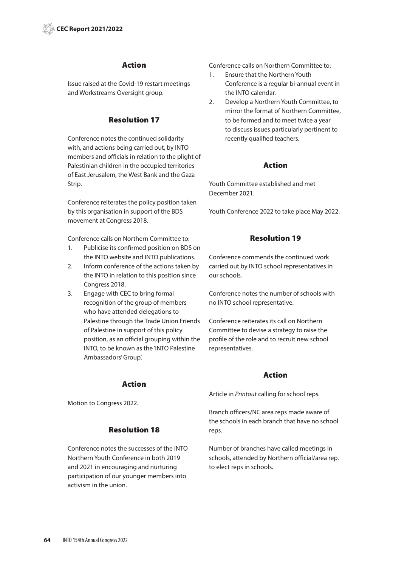# Action

Issue raised at the Covid-19 restart meetings and Workstreams Oversight group.

# Resolution 17

Conference notes the continued solidarity with, and actions being carried out, by INTO members and officials in relation to the plight of Palestinian children in the occupied territories of East Jerusalem, the West Bank and the Gaza Strip.

Conference reiterates the policy position taken by this organisation in support of the BDS movement at Congress 2018.

Conference calls on Northern Committee to:

- 1. Publicise its confirmed position on BDS on the INTO website and INTO publications.
- 2. Inform conference of the actions taken by the INTO in relation to this position since Congress 2018.
- 3. Engage with CEC to bring formal recognition of the group of members who have attended delegations to Palestine through the Trade Union Friends of Palestine in support of this policy position, as an official grouping within the INTO, to be known as the 'INTO Palestine Ambassadors' Group'.

### Action

Motion to Congress 2022.

# Resolution 18

Conference notes the successes of the INTO Northern Youth Conference in both 2019 and 2021 in encouraging and nurturing participation of our younger members into activism in the union.

Conference calls on Northern Committee to:

- 1. Ensure that the Northern Youth Conference is a regular bi-annual event in the INTO calendar.
- 2. Develop a Northern Youth Committee, to mirror the format of Northern Committee, to be formed and to meet twice a year to discuss issues particularly pertinent to recently qualified teachers.

# Action

Youth Committee established and met December 2021.

Youth Conference 2022 to take place May 2022.

# Resolution 19

Conference commends the continued work carried out by INTO school representatives in our schools.

Conference notes the number of schools with no INTO school representative.

Conference reiterates its call on Northern Committee to devise a strategy to raise the profile of the role and to recruit new school representatives.

#### Action

Article in *Printout* calling for school reps.

Branch officers/NC area reps made aware of the schools in each branch that have no school reps.

Number of branches have called meetings in schools, attended by Northern official/area rep. to elect reps in schools.